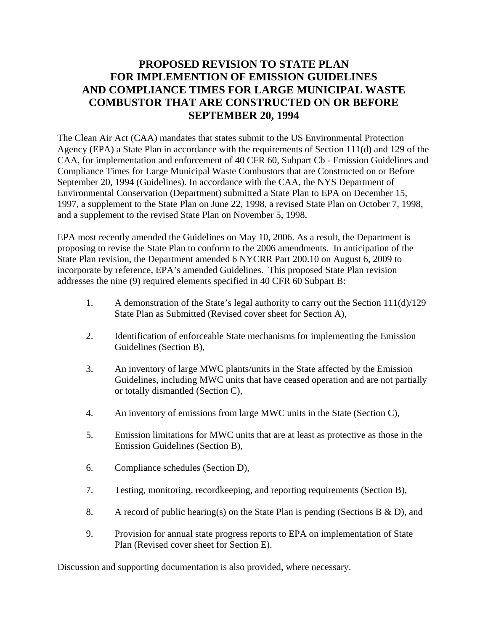# **PROPOSED REVISION TO STATE PLAN FOR IMPLEMENTION OF EMISSION GUIDELINES AND COMPLIANCE TIMES FOR LARGE MUNICIPAL WASTE COMBUSTOR THAT ARE CONSTRUCTED ON OR BEFORE SEPTEMBER 20, 1994**

The Clean Air Act (CAA) mandates that states submit to the US Environmental Protection Agency (EPA) a State Plan in accordance with the requirements of Section 111(d) and 129 of the CAA, for implementation and enforcement of 40 CFR 60, Subpart Cb - Emission Guidelines and Compliance Times for Large Municipal Waste Combustors that are Constructed on or Before September 20, 1994 (Guidelines). In accordance with the CAA, the NYS Department of Environmental Conservation (Department) submitted a State Plan to EPA on December 15, 1997, a supplement to the State Plan on June 22, 1998, a revised State Plan on October 7, 1998, and a supplement to the revised State Plan on November 5, 1998.

EPA most recently amended the Guidelines on May 10, 2006. As a result, the Department is proposing to revise the State Plan to conform to the 2006 amendments. In anticipation of the State Plan revision, the Department amended 6 NYCRR Part 200.10 on August 6, 2009 to incorporate by reference, EPA's amended Guidelines. This proposed State Plan revision addresses the nine (9) required elements specified in 40 CFR 60 Subpart B:

- 1. A demonstration of the State's legal authority to carry out the Section 111(d)/129 State Plan as Submitted (Revised cover sheet for Section A),
- 2. Identification of enforceable State mechanisms for implementing the Emission Guidelines (Section B),
- 3. An inventory of large MWC plants/units in the State affected by the Emission Guidelines, including MWC units that have ceased operation and are not partially or totally dismantled (Section C),
- 4. An inventory of emissions from large MWC units in the State (Section C),
- 5. Emission limitations for MWC units that are at least as protective as those in the Emission Guidelines (Section B),
- 6. Compliance schedules (Section D),
- 7. Testing, monitoring, recordkeeping, and reporting requirements (Section B),
- 8. A record of public hearing(s) on the State Plan is pending (Sections B  $\&$  D), and
- 9. Provision for annual state progress reports to EPA on implementation of State Plan (Revised cover sheet for Section E).

Discussion and supporting documentation is also provided, where necessary.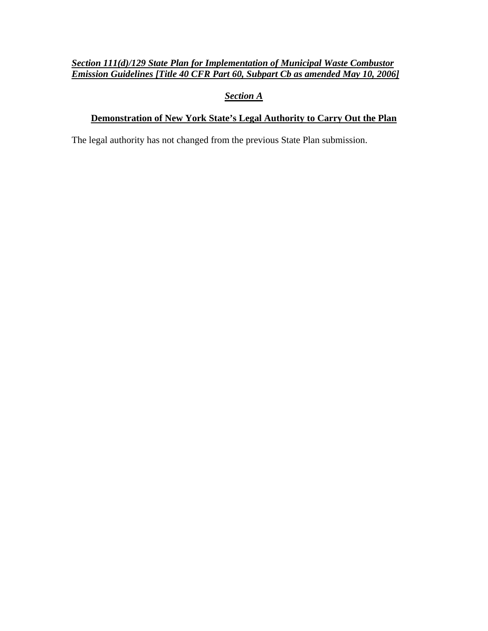# *Section 111(d)/129 State Plan for Implementation of Municipal Waste Combustor Emission Guidelines [Title 40 CFR Part 60, Subpart Cb as amended May 10, 2006]*

# *Section A*

# **Demonstration of New York State's Legal Authority to Carry Out the Plan**

The legal authority has not changed from the previous State Plan submission.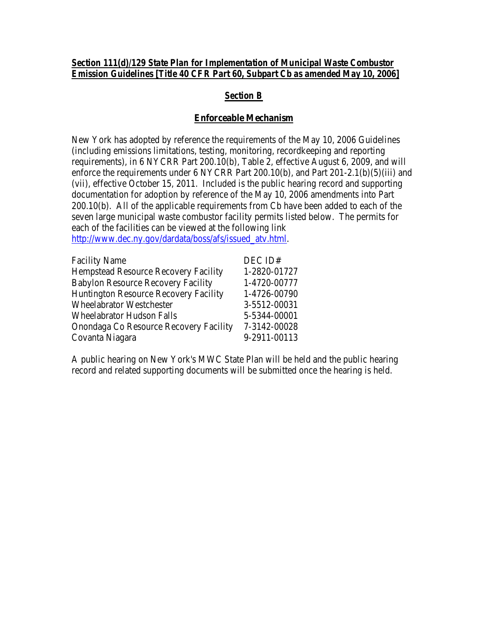#### *Section 111(d)/129 State Plan for Implementation of Municipal Waste Combustor Emission Guidelines [Title 40 CFR Part 60, Subpart Cb as amended May 10, 2006]*

# *Section B*

#### **Enforceable Mechanism**

New York has adopted by reference the requirements of the May 10, 2006 Guidelines (including emissions limitations, testing, monitoring, recordkeeping and reporting requirements), in 6 NYCRR Part 200.10(b), Table 2, effective August 6, 2009, and will enforce the requirements under 6 NYCRR Part 200.10(b), and Part 201-2.1(b)(5)(iii) and (vii), effective October 15, 2011. Included is the public hearing record and supporting documentation for adoption by reference of the May 10, 2006 amendments into Part 200.10(b). All of the applicable requirements from Cb have been added to each of the seven large municipal waste combustor facility permits listed below. The permits for each of the facilities can be viewed at the following link [http://www.dec.ny.gov/dardata/boss/afs/issued\\_atv.html.](http://www.dec.ny.gov/dardata/boss/afs/issued_atv.html)

| <b>Facility Name</b>                         | DEC ID#      |
|----------------------------------------------|--------------|
| <b>Hempstead Resource Recovery Facility</b>  | 1-2820-01727 |
| <b>Babylon Resource Recovery Facility</b>    | 1-4720-00777 |
| <b>Huntington Resource Recovery Facility</b> | 1-4726-00790 |
| <b>Wheelabrator Westchester</b>              | 3-5512-00031 |
| <b>Wheelabrator Hudson Falls</b>             | 5-5344-00001 |
| Onondaga Co Resource Recovery Facility       | 7-3142-00028 |
| Covanta Niagara                              | 9-2911-00113 |

A public hearing on New York's MWC State Plan will be held and the public hearing record and related supporting documents will be submitted once the hearing is held.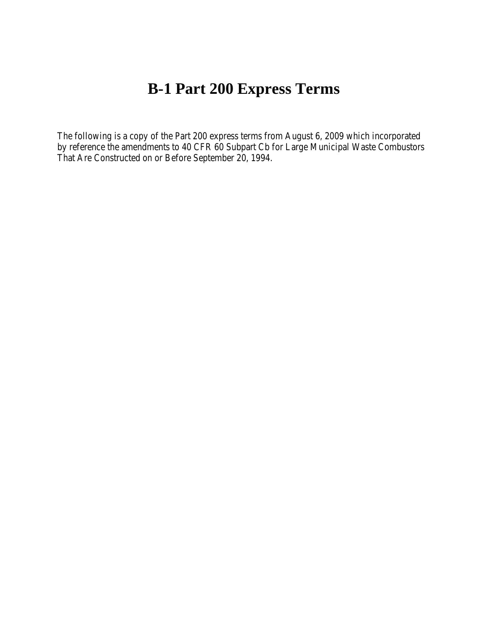# **B-1 Part 200 Express Terms**

The following is a copy of the Part 200 express terms from August 6, 2009 which incorporated by reference the amendments to 40 CFR 60 Subpart Cb for Large Municipal Waste Combustors That Are Constructed on or Before September 20, 1994.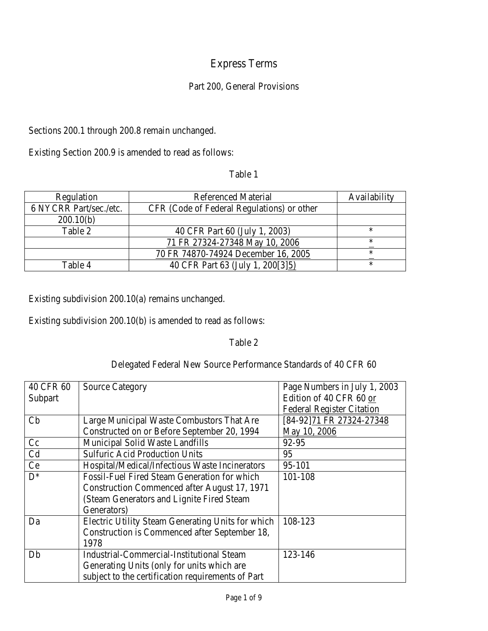# Express Terms

# Part 200, General Provisions

Sections 200.1 through 200.8 remain unchanged.

Existing Section 200.9 is amended to read as follows:

|  | aв<br>и |  |
|--|---------|--|
|--|---------|--|

| Regulation             | <b>Referenced Material</b>                 | Availability |
|------------------------|--------------------------------------------|--------------|
| 6 NYCRR Part/sec./etc. | CFR (Code of Federal Regulations) or other |              |
| 200.10(b)              |                                            |              |
| Table 2                | 40 CFR Part 60 (July 1, 2003)              | ∗            |
|                        | 71 FR 27324-27348 May 10, 2006             | *            |
|                        | 70 FR 74870-74924 December 16, 2005        | ∗            |
| Table 4                | 40 CFR Part 63 (July 1, 200[3]5)           | *            |

Existing subdivision 200.10(a) remains unchanged.

Existing subdivision 200.10(b) is amended to read as follows:

# Table 2

# Delegated Federal New Source Performance Standards of 40 CFR 60

| 40 CFR 60      | <b>Source Category</b>                              | Page Numbers in July 1, 2003     |
|----------------|-----------------------------------------------------|----------------------------------|
| Subpart        |                                                     | Edition of 40 CFR 60 or          |
|                |                                                     | <b>Federal Register Citation</b> |
| Cb             | Large Municipal Waste Combustors That Are           | [84-92]71 FR 27324-27348         |
|                | Constructed on or Before September 20, 1994         | May 10, 2006                     |
| Cc             | Municipal Solid Waste Landfills                     | 92-95                            |
| C <sub>d</sub> | <b>Sulfuric Acid Production Units</b>               | 95                               |
| Ce             | Hospital/Medical/Infectious Waste Incinerators      | 95-101                           |
| $D^*$          | <b>Fossil-Fuel Fired Steam Generation for which</b> | 101-108                          |
|                | Construction Commenced after August 17, 1971        |                                  |
|                | (Steam Generators and Lignite Fired Steam           |                                  |
|                | Generators)                                         |                                  |
| Da             | Electric Utility Steam Generating Units for which   | 108-123                          |
|                | Construction is Commenced after September 18,       |                                  |
|                | 1978                                                |                                  |
| Db             | <b>Industrial-Commercial-Institutional Steam</b>    | 123-146                          |
|                | Generating Units (only for units which are          |                                  |
|                | subject to the certification requirements of Part   |                                  |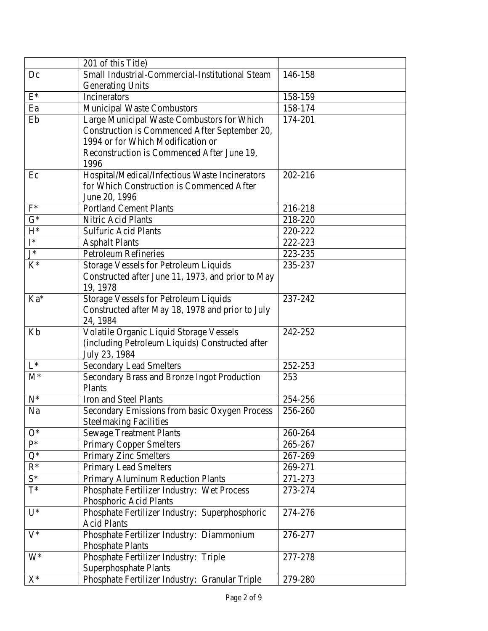|                | 201 of this Title)                                                            |         |
|----------------|-------------------------------------------------------------------------------|---------|
| Dc             | Small Industrial-Commercial-Institutional Steam                               | 146-158 |
|                | <b>Generating Units</b>                                                       |         |
| $\mathrm{E}^*$ | Incinerators                                                                  | 158-159 |
| Ea             | <b>Municipal Waste Combustors</b>                                             | 158-174 |
| Eb             | Large Municipal Waste Combustors for Which                                    | 174-201 |
|                | Construction is Commenced After September 20,                                 |         |
|                | 1994 or for Which Modification or                                             |         |
|                | Reconstruction is Commenced After June 19,                                    |         |
|                | 1996                                                                          |         |
| Ec             | Hospital/Medical/Infectious Waste Incinerators                                | 202-216 |
|                | for Which Construction is Commenced After                                     |         |
|                | June 20, 1996                                                                 |         |
| $F^*$          | <b>Portland Cement Plants</b>                                                 | 216-218 |
| $G^*$          | Nitric Acid Plants                                                            | 218-220 |
| $H^*$          | <b>Sulfuric Acid Plants</b>                                                   | 220-222 |
| $I^*$          | <b>Asphalt Plants</b>                                                         | 222-223 |
| $J^*$          | <b>Petroleum Refineries</b>                                                   | 223-235 |
| $K^*$          | Storage Vessels for Petroleum Liquids                                         | 235-237 |
|                | Constructed after June 11, 1973, and prior to May                             |         |
|                | 19, 1978                                                                      |         |
| Ka*            | <b>Storage Vessels for Petroleum Liquids</b>                                  | 237-242 |
|                | Constructed after May 18, 1978 and prior to July                              |         |
|                | 24, 1984                                                                      |         |
| Kb             | Volatile Organic Liquid Storage Vessels                                       | 242-252 |
|                | (including Petroleum Liquids) Constructed after                               |         |
| $L^*$          | July 23, 1984                                                                 | 252-253 |
| $M^*$          | <b>Secondary Lead Smelters</b><br>Secondary Brass and Bronze Ingot Production | 253     |
|                | Plants                                                                        |         |
| $N^*$          | Iron and Steel Plants                                                         | 254-256 |
| Na             | Secondary Emissions from basic Oxygen Process                                 | 256-260 |
|                | <b>Steelmaking Facilities</b>                                                 |         |
| $O^*$          | <b>Sewage Treatment Plants</b>                                                | 260-264 |
| $\mathbf{P}^*$ | <b>Primary Copper Smelters</b>                                                | 265-267 |
| $Q^*$          | <b>Primary Zinc Smelters</b>                                                  | 267-269 |
| $R^*$          | <b>Primary Lead Smelters</b>                                                  | 269-271 |
| $S^*$          | Primary Aluminum Reduction Plants                                             | 271-273 |
| $T^*$          | Phosphate Fertilizer Industry: Wet Process                                    | 273-274 |
|                | Phosphoric Acid Plants                                                        |         |
| $U^*$          | Phosphate Fertilizer Industry: Superphosphoric                                | 274-276 |
|                | <b>Acid Plants</b>                                                            |         |
| $V^*$          | Phosphate Fertilizer Industry: Diammonium                                     | 276-277 |
|                | <b>Phosphate Plants</b>                                                       |         |
| $W^*$          | Phosphate Fertilizer Industry: Triple                                         | 277-278 |
|                | Superphosphate Plants                                                         |         |
| $X^*$          | Phosphate Fertilizer Industry: Granular Triple                                | 279-280 |
|                |                                                                               |         |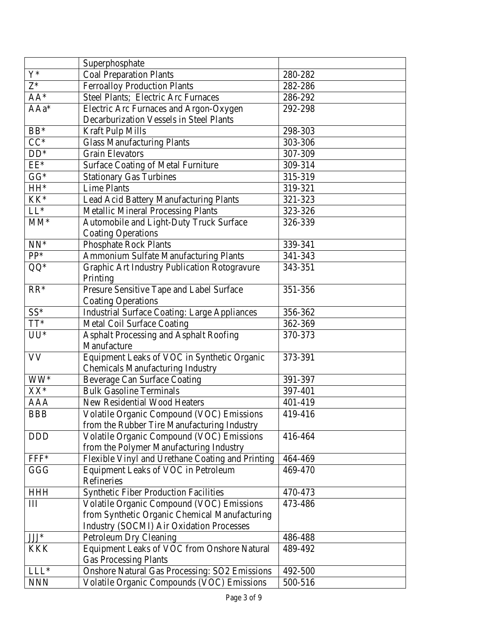|            | Superphosphate                                       |         |
|------------|------------------------------------------------------|---------|
| $Y^*$      | <b>Coal Preparation Plants</b>                       | 280-282 |
| $Z^*$      | <b>Ferroalloy Production Plants</b>                  | 282-286 |
| $AA^*$     | Steel Plants; Electric Arc Furnaces                  | 286-292 |
| AAa*       | Electric Arc Furnaces and Argon-Oxygen               | 292-298 |
|            | Decarburization Vessels in Steel Plants              |         |
| $BB*$      | <b>Kraft Pulp Mills</b>                              | 298-303 |
| $CC^*$     | <b>Glass Manufacturing Plants</b>                    | 303-306 |
| $DD*$      | <b>Grain Elevators</b>                               | 307-309 |
| $EE^*$     | <b>Surface Coating of Metal Furniture</b>            | 309-314 |
| $GG*$      | <b>Stationary Gas Turbines</b>                       | 315-319 |
| HH*        | <b>Lime Plants</b>                                   | 319-321 |
| KK*        | Lead Acid Battery Manufacturing Plants               | 321-323 |
| $LL^*$     | <b>Metallic Mineral Processing Plants</b>            | 323-326 |
| $MM^*$     | Automobile and Light-Duty Truck Surface              | 326-339 |
|            | <b>Coating Operations</b>                            |         |
| $NN^*$     | <b>Phosphate Rock Plants</b>                         | 339-341 |
| PP*        | <b>Ammonium Sulfate Manufacturing Plants</b>         | 341-343 |
| QQ*        | Graphic Art Industry Publication Rotogravure         | 343-351 |
|            | Printing                                             |         |
| $RR*$      | Presure Sensitive Tape and Label Surface             | 351-356 |
|            | <b>Coating Operations</b>                            |         |
| $SS^*$     | <b>Industrial Surface Coating: Large Appliances</b>  | 356-362 |
| $TT^*$     | <b>Metal Coil Surface Coating</b>                    | 362-369 |
| $UU^*$     | <b>Asphalt Processing and Asphalt Roofing</b>        | 370-373 |
|            | Manufacture                                          |         |
| <b>VV</b>  | Equipment Leaks of VOC in Synthetic Organic          | 373-391 |
|            | <b>Chemicals Manufacturing Industry</b>              |         |
| WW*        | <b>Beverage Can Surface Coating</b>                  | 391-397 |
| XX*        | <b>Bulk Gasoline Terminals</b>                       | 397-401 |
| <b>AAA</b> | New Residential Wood Heaters                         | 401-419 |
| <b>BBB</b> | Volatile Organic Compound (VOC) Emissions            | 419-416 |
|            | from the Rubber Tire Manufacturing Industry          |         |
| <b>DDD</b> | Volatile Organic Compound (VOC) Emissions            | 416-464 |
|            | from the Polymer Manufacturing Industry              |         |
| $FFF*$     | Flexible Vinyl and Urethane Coating and Printing     | 464-469 |
| GGG        | Equipment Leaks of VOC in Petroleum                  | 469-470 |
|            | Refineries                                           |         |
| <b>HHH</b> | <b>Synthetic Fiber Production Facilities</b>         | 470-473 |
| Ш          | Volatile Organic Compound (VOC) Emissions            | 473-486 |
|            | from Synthetic Organic Chemical Manufacturing        |         |
|            | <b>Industry (SOCMI) Air Oxidation Processes</b>      |         |
| $JJJ^*$    | Petroleum Dry Cleaning                               | 486-488 |
| <b>KKK</b> | Equipment Leaks of VOC from Onshore Natural          | 489-492 |
|            | <b>Gas Processing Plants</b>                         |         |
| $LLL*$     | <b>Onshore Natural Gas Processing: SO2 Emissions</b> | 492-500 |
| <b>NNN</b> | Volatile Organic Compounds (VOC) Emissions           | 500-516 |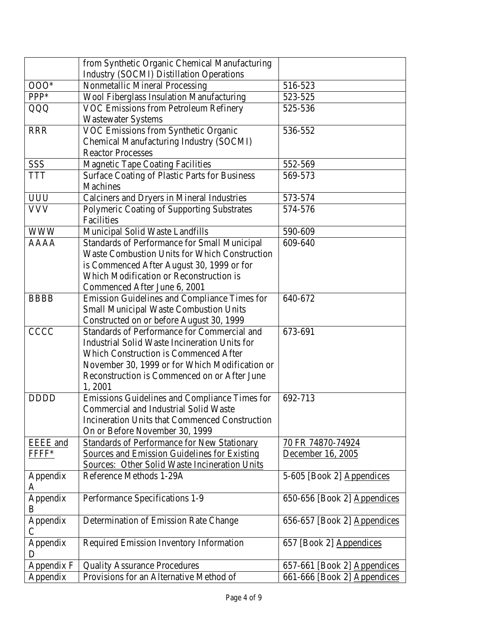|                           | from Synthetic Organic Chemical Manufacturing                                                                                                                                                                                                            |                                        |
|---------------------------|----------------------------------------------------------------------------------------------------------------------------------------------------------------------------------------------------------------------------------------------------------|----------------------------------------|
|                           | <b>Industry (SOCMI) Distillation Operations</b>                                                                                                                                                                                                          |                                        |
| $000*$                    | Nonmetallic Mineral Processing                                                                                                                                                                                                                           | 516-523                                |
| PPP*                      | Wool Fiberglass Insulation Manufacturing                                                                                                                                                                                                                 | 523-525                                |
| QQQ                       | VOC Emissions from Petroleum Refinery<br><b>Wastewater Systems</b>                                                                                                                                                                                       | 525-536                                |
| <b>RRR</b>                | VOC Emissions from Synthetic Organic<br>Chemical Manufacturing Industry (SOCMI)<br><b>Reactor Processes</b>                                                                                                                                              | 536-552                                |
| <b>SSS</b>                | <b>Magnetic Tape Coating Facilities</b>                                                                                                                                                                                                                  | 552-569                                |
| <b>TTT</b>                | <b>Surface Coating of Plastic Parts for Business</b><br><b>Machines</b>                                                                                                                                                                                  | 569-573                                |
| <b>UUU</b>                | Calciners and Dryers in Mineral Industries                                                                                                                                                                                                               | 573-574                                |
| <b>VVV</b>                | Polymeric Coating of Supporting Substrates<br>Facilities                                                                                                                                                                                                 | 574-576                                |
| <b>WWW</b>                | Municipal Solid Waste Landfills                                                                                                                                                                                                                          | 590-609                                |
| <b>AAAA</b>               | Standards of Performance for Small Municipal<br><b>Waste Combustion Units for Which Construction</b><br>is Commenced After August 30, 1999 or for<br>Which Modification or Reconstruction is<br>Commenced After June 6, 2001                             | 609-640                                |
| <b>BBBB</b>               | Emission Guidelines and Compliance Times for<br><b>Small Municipal Waste Combustion Units</b><br>Constructed on or before August 30, 1999                                                                                                                | 640-672                                |
| <b>CCCC</b>               | Standards of Performance for Commercial and<br>Industrial Solid Waste Incineration Units for<br><b>Which Construction is Commenced After</b><br>November 30, 1999 or for Which Modification or<br>Reconstruction is Commenced on or After June<br>1,2001 | 673-691                                |
| <b>DDDD</b>               | Emissions Guidelines and Compliance Times for<br><b>Commercial and Industrial Solid Waste</b><br><b>Incineration Units that Commenced Construction</b><br>On or Before November 30, 1999                                                                 | 692-713                                |
| EEEE and<br>FFFF*         | <b>Standards of Performance for New Stationary</b><br><b>Sources and Emission Guidelines for Existing</b><br><b>Sources: Other Solid Waste Incineration Units</b>                                                                                        | 70 FR 74870-74924<br>December 16, 2005 |
| Appendix<br>A             | Reference Methods 1-29A                                                                                                                                                                                                                                  | 5-605 [Book 2] Appendices              |
| Appendix<br>B             | Performance Specifications 1-9                                                                                                                                                                                                                           | 650-656 [Book 2] Appendices            |
| Appendix<br>$\mathcal{C}$ | Determination of Emission Rate Change                                                                                                                                                                                                                    | 656-657 [Book 2] Appendices            |
| Appendix<br>D             | Required Emission Inventory Information                                                                                                                                                                                                                  | 657 [Book 2] Appendices                |
| Appendix F                | <b>Quality Assurance Procedures</b>                                                                                                                                                                                                                      | 657-661 [Book 2] Appendices            |
| Appendix                  | Provisions for an Alternative Method of                                                                                                                                                                                                                  | 661-666 [Book 2] Appendices            |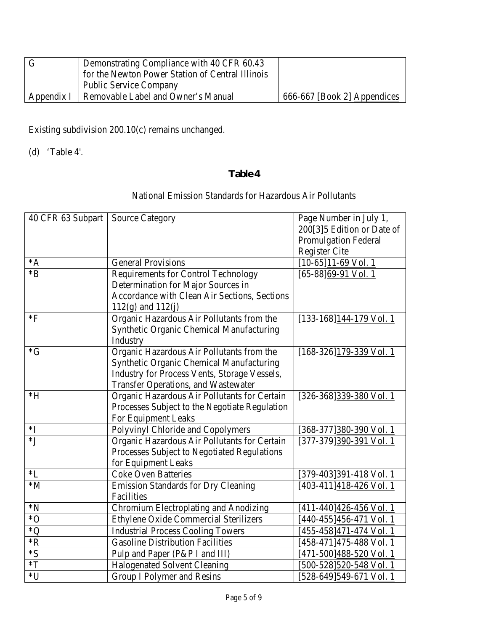|            | Demonstrating Compliance with 40 CFR 60.43       |                             |
|------------|--------------------------------------------------|-----------------------------|
|            | for the Newton Power Station of Central Illinois |                             |
|            | <b>Public Service Company</b>                    |                             |
| Appendix I | Removable Label and Owner's Manual               | 666-667 [Book 2] Appendices |

Existing subdivision 200.10(c) remains unchanged.

(d) 'Table 4'.

# National Emission Standards for Hazardous Air Pollutants

| 40 CFR 63 Subpart | <b>Source Category</b>                          | Page Number in July 1,<br>200[3]5 Edition or Date of<br><b>Promulgation Federal</b> |
|-------------------|-------------------------------------------------|-------------------------------------------------------------------------------------|
|                   |                                                 | <b>Register Cite</b>                                                                |
| $^*A$             | <b>General Provisions</b>                       | $[10-65]11-69$ Vol. 1                                                               |
| $*B$              | <b>Requirements for Control Technology</b>      | $[65-88]69-91$ Vol. 1                                                               |
|                   | Determination for Major Sources in              |                                                                                     |
|                   | Accordance with Clean Air Sections, Sections    |                                                                                     |
|                   | $112(g)$ and $112(j)$                           |                                                                                     |
| $*F$              | Organic Hazardous Air Pollutants from the       | [133-168]144-179 Vol. 1                                                             |
|                   | Synthetic Organic Chemical Manufacturing        |                                                                                     |
|                   | Industry                                        |                                                                                     |
| $\mathrm{G}^*G$   | Organic Hazardous Air Pollutants from the       | $[168-326]179-339$ Vol. 1                                                           |
|                   | <b>Synthetic Organic Chemical Manufacturing</b> |                                                                                     |
|                   | Industry for Process Vents, Storage Vessels,    |                                                                                     |
|                   | <b>Transfer Operations, and Wastewater</b>      |                                                                                     |
| $*H$              | Organic Hazardous Air Pollutants for Certain    | [326-368]339-380 Vol. 1                                                             |
|                   | Processes Subject to the Negotiate Regulation   |                                                                                     |
|                   | For Equipment Leaks                             |                                                                                     |
| $*I$              | Polyvinyl Chloride and Copolymers               | [368-377] 380-390 Vol. 1                                                            |
| $*J$              | Organic Hazardous Air Pollutants for Certain    | [377-379]390-391 Vol. 1                                                             |
|                   | Processes Subject to Negotiated Regulations     |                                                                                     |
|                   | for Equipment Leaks                             |                                                                                     |
| $*L$              | <b>Coke Oven Batteries</b>                      | [379-403] 391-418 Vol. 1                                                            |
| $*M$              | <b>Emission Standards for Dry Cleaning</b>      | [403-411] 418-426 Vol. 1                                                            |
|                   | Facilities                                      |                                                                                     |
| $^*N$             | Chromium Electroplating and Anodizing           | [411-440] 426-456 Vol. 1                                                            |
| $*$ O             | Ethylene Oxide Commercial Sterilizers           | [440-455] 456-471 Vol. 1                                                            |
| $^*$ Q            | <b>Industrial Process Cooling Towers</b>        | [455-458] 471-474 Vol. 1                                                            |
| $*{\bf R}$        | <b>Gasoline Distribution Facilities</b>         | [458-471] 475-488 Vol. 1                                                            |
| $*_{S}$           | Pulp and Paper (P&P I and III)                  | [471-500] 488-520 Vol. 1                                                            |
| $\,^*\mathrm{T}$  | <b>Halogenated Solvent Cleaning</b>             | [500-528]520-548 Vol. 1                                                             |
| *U                | <b>Group I Polymer and Resins</b>               | [528-649]549-671 Vol. 1                                                             |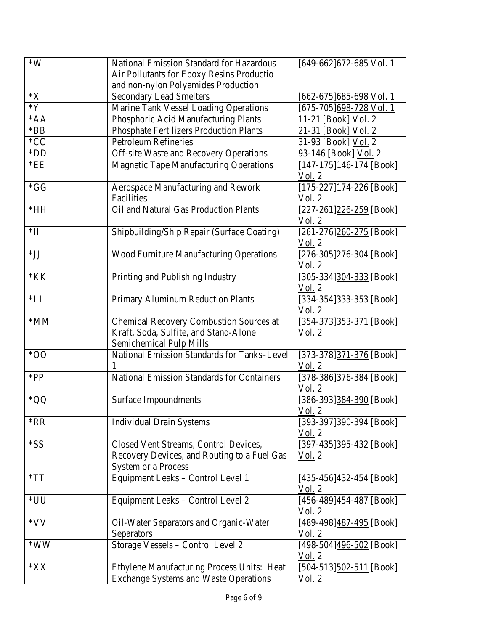| $*W$           | National Emission Standard for Hazardous                                                                           | $[649-662]$ 672-685 Vol. 1                                           |
|----------------|--------------------------------------------------------------------------------------------------------------------|----------------------------------------------------------------------|
|                | Air Pollutants for Epoxy Resins Productio                                                                          |                                                                      |
|                | and non-nylon Polyamides Production                                                                                |                                                                      |
| $*X$           | <b>Secondary Lead Smelters</b>                                                                                     | [662-675] 685-698 Vol. 1                                             |
| $*Y$           | Marine Tank Vessel Loading Operations                                                                              | [675-705]698-728 Vol. 1                                              |
| $*AA$          | Phosphoric Acid Manufacturing Plants                                                                               | 11-21 [Book] Vol. 2                                                  |
| $*BB$          | <b>Phosphate Fertilizers Production Plants</b>                                                                     | 21-31 [Book] Vol. 2                                                  |
| $*CC$          | <b>Petroleum Refineries</b>                                                                                        | 31-93 [Book] Vol. 2                                                  |
| $*$ DD         | Off-site Waste and Recovery Operations                                                                             | 93-146 [Book] Vol. 2                                                 |
| $*EE$          | <b>Magnetic Tape Manufacturing Operations</b>                                                                      | $[147-175]$ 146-174 [Book]<br>Vol. 2                                 |
| $*GG$          | Aerospace Manufacturing and Rework<br>Facilities                                                                   | $[175-227]$ $174-226$ [Book]<br>$\underline{\text{Vol}}$ . 2         |
| $*HH$          | Oil and Natural Gas Production Plants                                                                              | $[227-261]226-259$ [Book]<br>$Vol.$ 2                                |
| $\mathbf{H}^*$ | Shipbuilding/Ship Repair (Surface Coating)                                                                         | $[261-276]260-275$ [Book]<br>Vol. 2                                  |
| $*$ JJ         | <b>Wood Furniture Manufacturing Operations</b>                                                                     | $[276-305]276-304$ [Book]<br>Vol. 2                                  |
| $*KK$          | Printing and Publishing Industry                                                                                   | $[305-334]304-333$ [Book]<br>Vol. 2                                  |
| $*LL$          | Primary Aluminum Reduction Plants                                                                                  | [334-354]333-353 [Book]<br>Vol. 2                                    |
| $*MM$          | <b>Chemical Recovery Combustion Sources at</b><br>Kraft, Soda, Sulfite, and Stand-Alone<br>Semichemical Pulp Mills | [354-373]353-371 [Book]<br><u>Vol.</u> 2                             |
| $*OO$          | National Emission Standards for Tanks-Level                                                                        | $[373-378]371-376$ [Book]<br>Vol. 2                                  |
| $*PP$          | <b>National Emission Standards for Containers</b>                                                                  | $[378-386]376-384$ [Book]<br>Vol <sub>2</sub> 2                      |
| *QQ            | <b>Surface Impoundments</b>                                                                                        | [386-393] $\frac{384-390}{8}$ [Book]<br>$\underline{\text{Vol}}$ . 2 |
| $*RR$          | <b>Individual Drain Systems</b>                                                                                    | [393-397] 390-394 [Book]<br>Vol. 2                                   |
| *SS            | Closed Vent Streams, Control Devices,<br>Recovery Devices, and Routing to a Fuel Gas<br><b>System or a Process</b> | [397-435] <sup>395-432</sup> [Book]<br><u>Vol.</u> 2                 |
| $*TT$          | Equipment Leaks - Control Level 1                                                                                  | $[435-456]$ $432-454$ [Book]<br>Vol. 2                               |
| *UU            | Equipment Leaks - Control Level 2                                                                                  | [456-489] $\frac{454-487}{8}$ [Book]<br>Vol. 2                       |
| *VV            | Oil-Water Separators and Organic-Water<br>Separators                                                               | [489-498] 487-495 [Book]<br>Vol. 2                                   |
| $*WW$          | Storage Vessels - Control Level 2                                                                                  | $[498-504]$ $496-502$ [Book]<br>Vol. 2                               |
| $*XX$          | Ethylene Manufacturing Process Units: Heat<br><b>Exchange Systems and Waste Operations</b>                         | $[504-513]$ $502-511$ [Book]<br>$\underline{\text{Vol}}$ . 2         |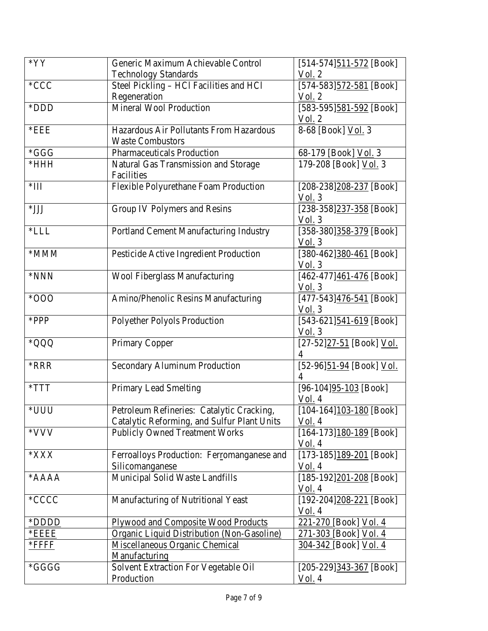| $*YY$        | Generic Maximum Achievable Control                                                       | $[514-574]$ $511-572$ [Book]                              |
|--------------|------------------------------------------------------------------------------------------|-----------------------------------------------------------|
|              | <b>Technology Standards</b>                                                              | Vol. 2                                                    |
| $*CCC$       | Steel Pickling - HCl Facilities and HCl                                                  | [574-583] $\frac{572-581}{2}$ [Book]                      |
|              | Regeneration                                                                             | Vol. 2                                                    |
| *DDD         | <b>Mineral Wool Production</b>                                                           | [583-595]581-592 [Book]<br>Vol. 2                         |
| $*$ EEE      | Hazardous Air Pollutants From Hazardous<br><b>Waste Combustors</b>                       | 8-68 [Book] Vol. 3                                        |
| $*GGG$       | Pharmaceuticals Production                                                               | 68-179 [Book] Vol. 3                                      |
| $*$ HHH      | Natural Gas Transmission and Storage<br>Facilities                                       | 179-208 [Book] Vol. 3                                     |
| $*III$       | Flexible Polyurethane Foam Production                                                    | [208-238]208-237 [Book]<br>Vol. 3                         |
| $*$ JJJ      | Group IV Polymers and Resins                                                             | [238-358]237-358 [Book]<br>Vol. 3                         |
| $*LLL$       | Portland Cement Manufacturing Industry                                                   | [358-380] $358-379$ [Book]<br>Vol. 3                      |
| *MMM         | Pesticide Active Ingredient Production                                                   | $[380-462]380-461$ [Book]<br>$\underline{\text{Vol}}$ . 3 |
| *NNN         | <b>Wool Fiberglass Manufacturing</b>                                                     | [462-477] 461-476 [Book]<br>$Vol.$ 3                      |
| $*000*$      | Amino/Phenolic Resins Manufacturing                                                      | [477-543] 476-541 [Book]<br>Vol. 3                        |
| *PPP         | <b>Polyether Polyols Production</b>                                                      | [543-621] $\frac{541-619}{8}$ [Book]<br>Vol. 3            |
| *QQQ         | <b>Primary Copper</b>                                                                    | [27-52]27-51 [Book] Vol.<br>4                             |
| *RRR         | <b>Secondary Aluminum Production</b>                                                     | [52-96]51-94 [Book] Vol.                                  |
| $*TTT$       | Primary Lead Smelting                                                                    | $[96-104]95-103$ [Book]<br><u>Vol.</u> 4                  |
| *UUU         | Petroleum Refineries: Catalytic Cracking,<br>Catalytic Reforming, and Sulfur Plant Units | $[104-164]103-180$ [Book]<br>Vol. 4                       |
| *VVV         | <b>Publicly Owned Treatment Works</b>                                                    | $[164-173]180-189$ [Book]<br>Vol. 4                       |
| $*$ XXX      | Ferroalloys Production: Ferromanganese and<br>Silicomanganese                            | $[173-185]$ 189-201 [Book]<br>Vol. 4                      |
| $*AAAA$      | Municipal Solid Waste Landfills                                                          | $[185-192]201-208$ [Book]<br>Vol. 4                       |
| *CCCC        | Manufacturing of Nutritional Yeast                                                       | $[192-204]208-221$ [Book]<br>Vol. 4                       |
| *DDDD        | Plywood and Composite Wood Products                                                      | 221-270 [Book] Vol. 4                                     |
| $*$ EEEE     | Organic Liquid Distribution (Non-Gasoline)                                               | 271-303 [Book] Vol. 4                                     |
| <u>*FFFF</u> | Miscellaneous Organic Chemical<br>Manufacturing                                          | <u>304-342 [Book] Vol. 4</u>                              |
| *GGGG        | Solvent Extraction For Vegetable Oil<br>Production                                       | $[205-229]343-367$ [Book]<br>Vol. 4                       |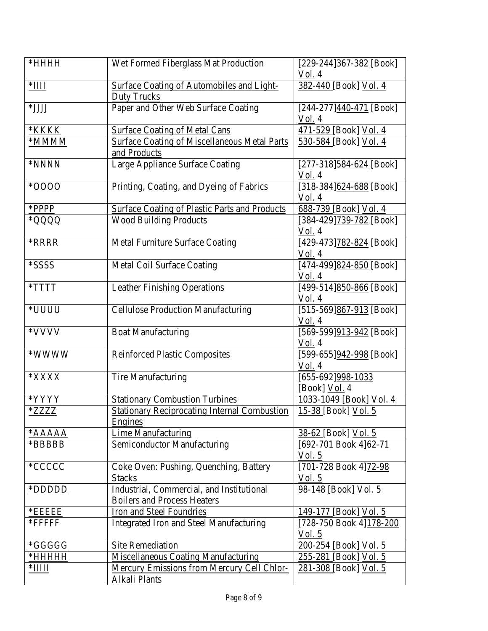| $*$ HHHH                                             | Wet Formed Fiberglass Mat Production                                            | $[229-244]$ 367-382 [Book]<br><u>Vol.</u> 4 |
|------------------------------------------------------|---------------------------------------------------------------------------------|---------------------------------------------|
| $*$ IIII                                             | <b>Surface Coating of Automobiles and Light-</b><br><b>Duty Trucks</b>          | 382-440 [Book] Vol. 4                       |
| *JJJJ                                                | Paper and Other Web Surface Coating                                             | $[244-277]$ $440-471$ [Book]<br>Vol. 4      |
| *KKKK                                                | <b>Surface Coating of Metal Cans</b>                                            | 471-529 [Book] Vol. 4                       |
| *MMMM                                                | <b>Surface Coating of Miscellaneous Metal Parts</b><br>and Products             | 530-584 [Book] Vol. 4                       |
| *NNNN                                                | Large Appliance Surface Coating                                                 | $[277-318]$ 584-624 [Book]<br>Vol. 4        |
| *0000                                                | Printing, Coating, and Dyeing of Fabrics                                        | $[318-384]$ 624-688 [Book]<br>Vol. 4        |
| *PPPP                                                | <b>Surface Coating of Plastic Parts and Products</b>                            | 688-739 [Book] Vol. 4                       |
| *QQQQ                                                | <b>Wood Building Products</b>                                                   | [384-429]739-782 [Book]<br>Vol. 4           |
| <b>*RRRR</b>                                         | <b>Metal Furniture Surface Coating</b>                                          | [429-473]782-824 [Book]<br>Vol. 4           |
| *SSSS                                                | Metal Coil Surface Coating                                                      | [474-499] $824-850$ [Book]<br>Vol. 4        |
| $\boldsymbol{*} \text{T} \text{T} \text{T} \text{T}$ | <b>Leather Finishing Operations</b>                                             | [499-514]850-866 [Book]<br>Vol. 4           |
| *UUUU                                                | <b>Cellulose Production Manufacturing</b>                                       | [515-569]867-913 [Book]<br><u>Vol.</u> 4    |
| *VVVV                                                | <b>Boat Manufacturing</b>                                                       | [569-599]913-942 [Book]<br>Vol. 4           |
| *WWWW                                                | <b>Reinforced Plastic Composites</b>                                            | [599-655]942-998 [Book]<br>Vol. 4           |
| $*{\bf XXXX}$                                        | <b>Tire Manufacturing</b>                                                       | [655-692]998-1033<br>[Book] <u>Vol.</u> 4   |
| *YYYY                                                | <b>Stationary Combustion Turbines</b>                                           | 1033-1049 [Book] Vol. 4                     |
| *ZZZZ                                                | <b>Stationary Reciprocating Internal Combustion</b><br>Engines                  | <u>15-38 [Book] Vol. 5</u>                  |
| *AAAAA                                               | <b>Lime Manufacturing</b>                                                       | 38-62 [Book] Vol. 5                         |
| *BBBBB                                               | Semiconductor Manufacturing                                                     | [692-701 Book 4]62-71<br>Vol. 5             |
| *CCCCC                                               | Coke Oven: Pushing, Quenching, Battery<br><b>Stacks</b>                         | [701-728 Book 4]72-98<br>Vol. 5             |
| *DDDDD                                               | Industrial, Commercial, and Institutional<br><b>Boilers and Process Heaters</b> | 98-148 [Book] Vol. 5                        |
| *EEEEE                                               | Iron and Steel Foundries                                                        | 149-177 [Book] Vol. 5                       |
| *FFFFFF                                              | Integrated Iron and Steel Manufacturing                                         | [728-750 Book 4] 178-200<br><u>Vol. 5</u>   |
| *GGGGG                                               | <b>Site Remediation</b>                                                         | 200-254 [Book] Vol. 5                       |
| $*$ HHHHH                                            | <b>Miscellaneous Coating Manufacturing</b>                                      | 255-281 [Book] Vol. 5                       |
| $*$ IIIII                                            | Mercury Emissions from Mercury Cell Chlor-                                      | 281-308 [Book] Vol. 5                       |
|                                                      | Alkali Plants                                                                   |                                             |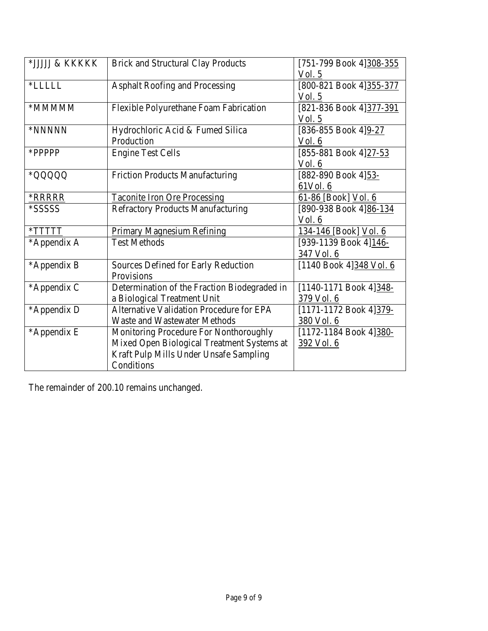| *JJJJJ & KKKKK | <b>Brick and Structural Clay Products</b>    | [751-799 Book 4]308-355  |
|----------------|----------------------------------------------|--------------------------|
|                |                                              | Vol. 5                   |
| *LLLLL         | <b>Asphalt Roofing and Processing</b>        | [800-821 Book 4] 355-377 |
|                |                                              | Vol. 5                   |
| *MMMMM         | Flexible Polyurethane Foam Fabrication       | [821-836 Book 4] 377-391 |
|                |                                              | Vol. 5                   |
| *NNNNN         | Hydrochloric Acid & Fumed Silica             | [836-855 Book 4]9-27     |
|                | Production                                   | Vol. 6                   |
| *PPPPP         | <b>Engine Test Cells</b>                     | [855-881 Book 4]27-53    |
|                |                                              | Vol. 6                   |
| *QQQQQ         | <b>Friction Products Manufacturing</b>       | [882-890 Book 4]53-      |
|                |                                              | 61Vol. 6                 |
| <b>*RRRRR</b>  | <b>Taconite Iron Ore Processing</b>          | 61-86 [Book] Vol. 6      |
| *SSSSS         | <b>Refractory Products Manufacturing</b>     | [890-938 Book 4] 86-134  |
|                |                                              | Vol. 6                   |
| $*TTTTT$       | Primary Magnesium Refining                   | 134-146 [Book] Vol. 6    |
| *Appendix A    | <b>Test Methods</b>                          | [939-1139 Book 4]146-    |
|                |                                              | 347 Vol. 6               |
| *Appendix B    | Sources Defined for Early Reduction          | [1140 Book 4] 348 Vol. 6 |
|                | Provisions                                   |                          |
| *Appendix C    | Determination of the Fraction Biodegraded in | [1140-1171 Book 4]348-   |
|                | a Biological Treatment Unit                  | 379 Vol. 6               |
| *Appendix D    | Alternative Validation Procedure for EPA     | [1171-1172 Book 4]379-   |
|                | <b>Waste and Wastewater Methods</b>          | 380 Vol. 6               |
| *Appendix E    | Monitoring Procedure For Nonthoroughly       | [1172-1184 Book 4]380-   |
|                | Mixed Open Biological Treatment Systems at   | <u>392 Vol. 6</u>        |
|                | Kraft Pulp Mills Under Unsafe Sampling       |                          |
|                | Conditions                                   |                          |

The remainder of 200.10 remains unchanged.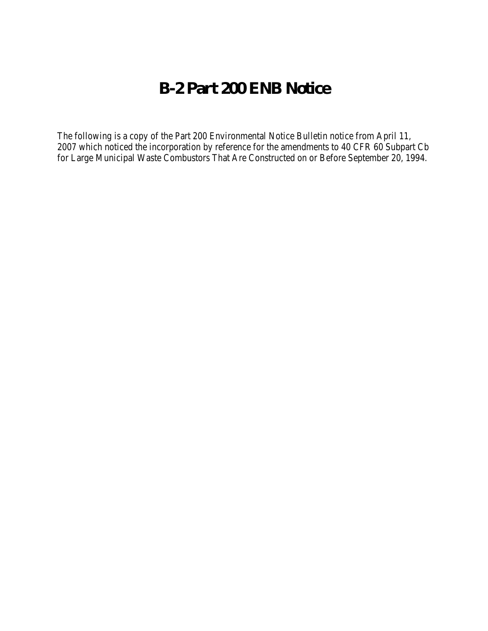# **B-2 Part 200 ENB Notice**

The following is a copy of the Part 200 Environmental Notice Bulletin notice from April 11, 2007 which noticed the incorporation by reference for the amendments to 40 CFR 60 Subpart Cb for Large Municipal Waste Combustors That Are Constructed on or Before September 20, 1994.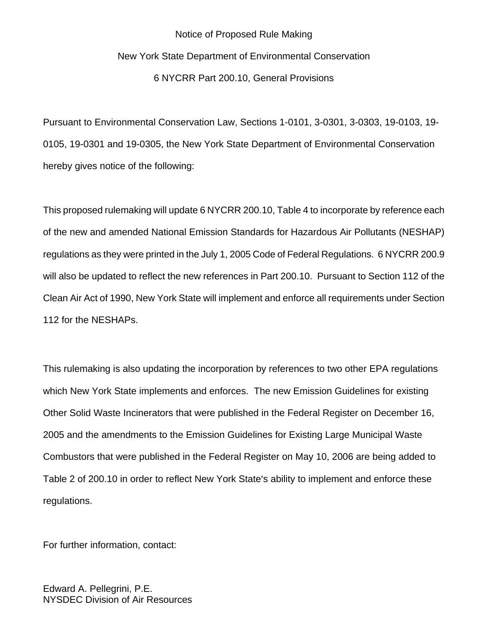# Notice of Proposed Rule Making New York State Department of Environmental Conservation 6 NYCRR Part 200.10, General Provisions

Pursuant to Environmental Conservation Law, Sections 1-0101, 3-0301, 3-0303, 19-0103, 19- 0105, 19-0301 and 19-0305, the New York State Department of Environmental Conservation hereby gives notice of the following:

This proposed rulemaking will update 6 NYCRR 200.10, Table 4 to incorporate by reference each of the new and amended National Emission Standards for Hazardous Air Pollutants (NESHAP) regulations as they were printed in the July 1, 2005 Code of Federal Regulations. 6 NYCRR 200.9 will also be updated to reflect the new references in Part 200.10. Pursuant to Section 112 of the Clean Air Act of 1990, New York State will implement and enforce all requirements under Section 112 for the NESHAPs.

This rulemaking is also updating the incorporation by references to two other EPA regulations which New York State implements and enforces. The new Emission Guidelines for existing Other Solid Waste Incinerators that were published in the Federal Register on December 16, 2005 and the amendments to the Emission Guidelines for Existing Large Municipal Waste Combustors that were published in the Federal Register on May 10, 2006 are being added to Table 2 of 200.10 in order to reflect New York State's ability to implement and enforce these regulations.

For further information, contact:

Edward A. Pellegrini, P.E. NYSDEC Division of Air Resources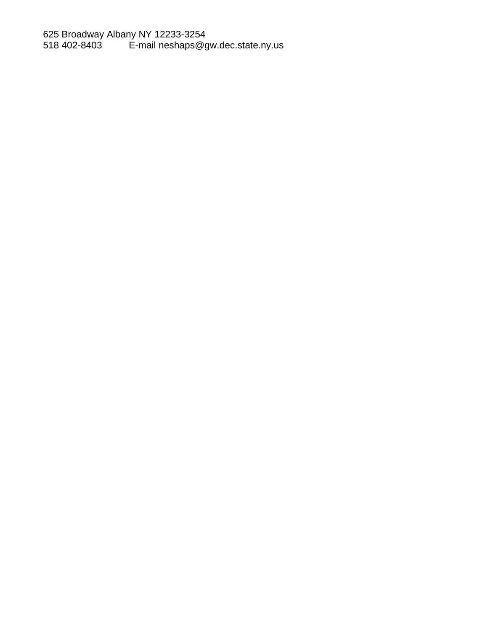625 Broadway Albany NY 12233-3254 518 402-8403 E-mail [neshaps@gw.dec.state.ny.us](mailto:neshaps@gw.dec.state.ny.us)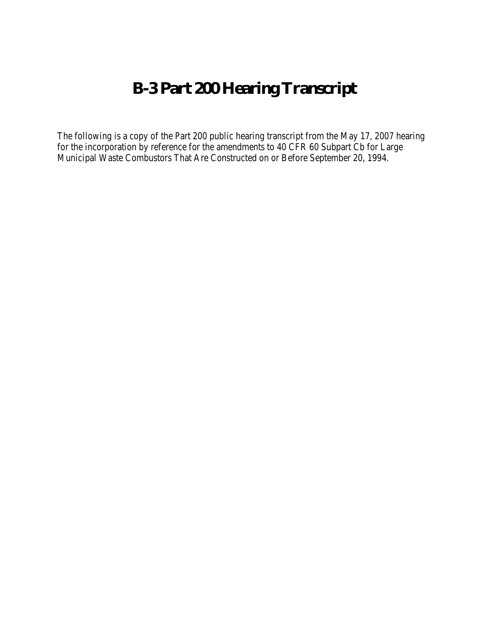# **B-3 Part 200 Hearing Transcript**

The following is a copy of the Part 200 public hearing transcript from the May 17, 2007 hearing for the incorporation by reference for the amendments to 40 CFR 60 Subpart Cb for Large Municipal Waste Combustors That Are Constructed on or Before September 20, 1994.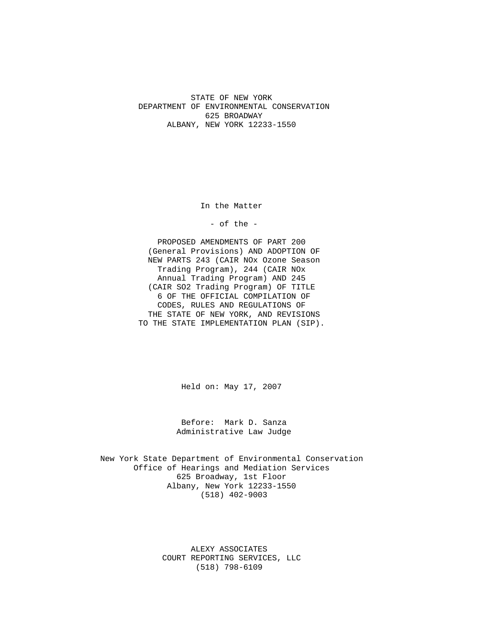STATE OF NEW YORK DEPARTMENT OF ENVIRONMENTAL CONSERVATION 625 BROADWAY ALBANY, NEW YORK 12233-1550

In the Matter

- of the -

PROPOSED AMENDMENTS OF PART 200 (General Provisions) AND ADOPTION OF NEW PARTS 243 (CAIR NOx Ozone Season Trading Program), 244 (CAIR NOx Annual Trading Program) AND 245 (CAIR SO2 Trading Program) OF TITLE 6 OF THE OFFICIAL COMPILATION OF CODES, RULES AND REGULATIONS OF THE STATE OF NEW YORK, AND REVISIONS TO THE STATE IMPLEMENTATION PLAN (SIP).

Held on: May 17, 2007

Before: Mark D. Sanza Administrative Law Judge

New York State Department of Environmental Conservation Office of Hearings and Mediation Services 625 Broadway, 1st Floor Albany, New York 12233-1550 (518) 402-9003

> ALEXY ASSOCIATES COURT REPORTING SERVICES, LLC (518) 798-6109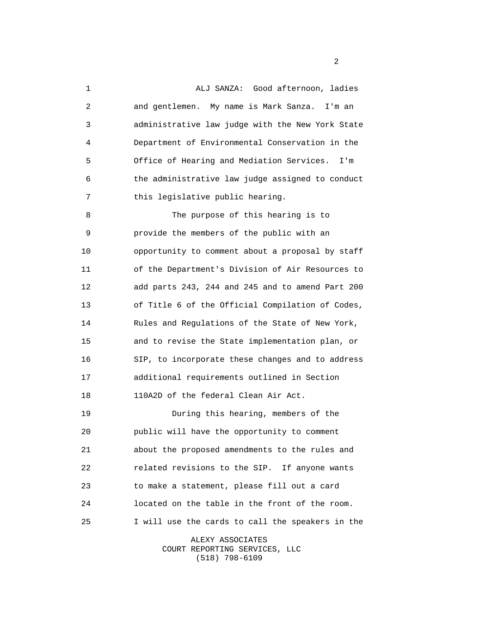5 10 15 20 25 1 ALJ SANZA: Good afternoon, ladies 2 and gentlemen. My name is Mark Sanza. I'm an 3 administrative law judge with the New York State 4 Department of Environmental Conservation in the Office of Hearing and Mediation Services. I'm 6 the administrative law judge assigned to conduct 7 this legislative public hearing. 8 The purpose of this hearing is to 9 provide the members of the public with an opportunity to comment about a proposal by staff 11 of the Department's Division of Air Resources to 12 add parts 243, 244 and 245 and to amend Part 200 13 of Title 6 of the Official Compilation of Codes, 14 Rules and Regulations of the State of New York, and to revise the State implementation plan, or 16 SIP, to incorporate these changes and to address 17 additional requirements outlined in Section 18 110A2D of the federal Clean Air Act. 19 During this hearing, members of the public will have the opportunity to comment 21 about the proposed amendments to the rules and 22 related revisions to the SIP. If anyone wants 23 to make a statement, please fill out a card 24 located on the table in the front of the room. I will use the cards to call the speakers in the

> ALEXY ASSOCIATES COURT REPORTING SERVICES, LLC (518) 798-6109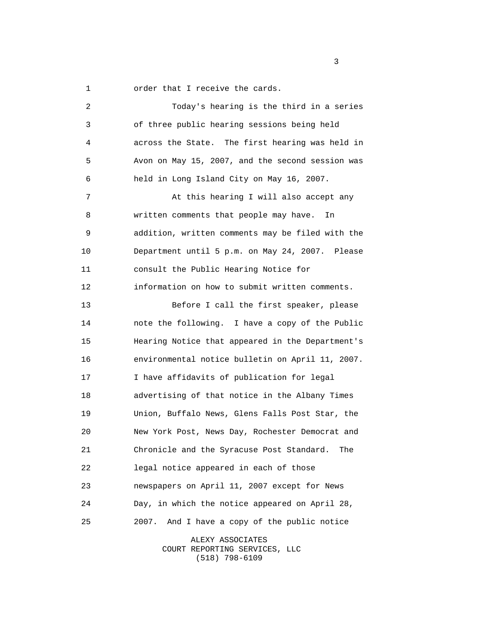1 order that I receive the cards.

| 2  | Today's hearing is the third in a series         |
|----|--------------------------------------------------|
| 3  | of three public hearing sessions being held      |
| 4  | across the State. The first hearing was held in  |
| 5  | Avon on May 15, 2007, and the second session was |
| 6  | held in Long Island City on May 16, 2007.        |
| 7  | At this hearing I will also accept any           |
| 8  | written comments that people may have.<br>In     |
| 9  | addition, written comments may be filed with the |
| 10 | Department until 5 p.m. on May 24, 2007. Please  |
| 11 | consult the Public Hearing Notice for            |
| 12 | information on how to submit written comments.   |
| 13 | Before I call the first speaker, please          |
| 14 | note the following. I have a copy of the Public  |
| 15 | Hearing Notice that appeared in the Department's |
| 16 | environmental notice bulletin on April 11, 2007. |
| 17 | I have affidavits of publication for legal       |
| 18 | advertising of that notice in the Albany Times   |
| 19 | Union, Buffalo News, Glens Falls Post Star, the  |
| 20 | New York Post, News Day, Rochester Democrat and  |
| 21 | Chronicle and the Syracuse Post Standard.<br>The |
| 22 | legal notice appeared in each of those           |
| 23 | newspapers on April 11, 2007 except for News     |
| 24 | Day, in which the notice appeared on April 28,   |
| 25 | And I have a copy of the public notice<br>2007.  |

ALEXY ASSOCIATES COURT REPORTING SERVICES, LLC (518) 798-6109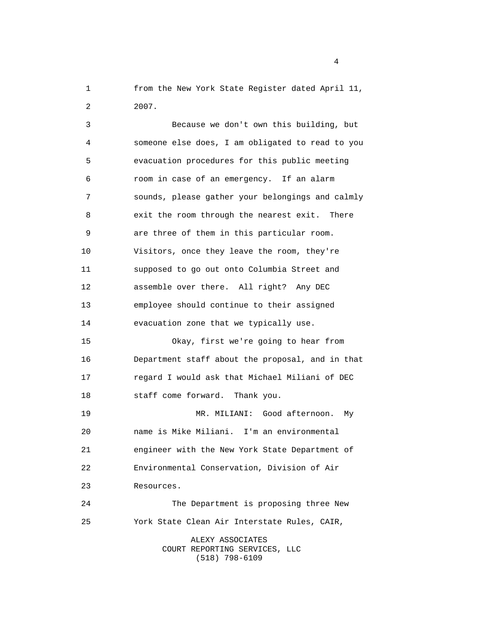1 from the New York State Register dated April 11, 2 2007.

 5 10 15  $20^{\circ}$  25 3 Because we don't own this building, but 4 someone else does, I am obligated to read to you evacuation procedures for this public meeting 6 room in case of an emergency. If an alarm 7 sounds, please gather your belongings and calmly 8 exit the room through the nearest exit. There 9 are three of them in this particular room. Visitors, once they leave the room, they're 11 supposed to go out onto Columbia Street and 12 assemble over there. All right? Any DEC 13 employee should continue to their assigned 14 evacuation zone that we typically use. Okay, first we're going to hear from 16 Department staff about the proposal, and in that 17 regard I would ask that Michael Miliani of DEC 18 staff come forward. Thank you. 19 MR. MILIANI: Good afternoon. My name is Mike Miliani. I'm an environmental 21 engineer with the New York State Department of 22 Environmental Conservation, Division of Air 23 Resources. 24 The Department is proposing three New York State Clean Air Interstate Rules, CAIR,

ALEXY ASSOCIATES COURT REPORTING SERVICES, LLC (518) 798-6109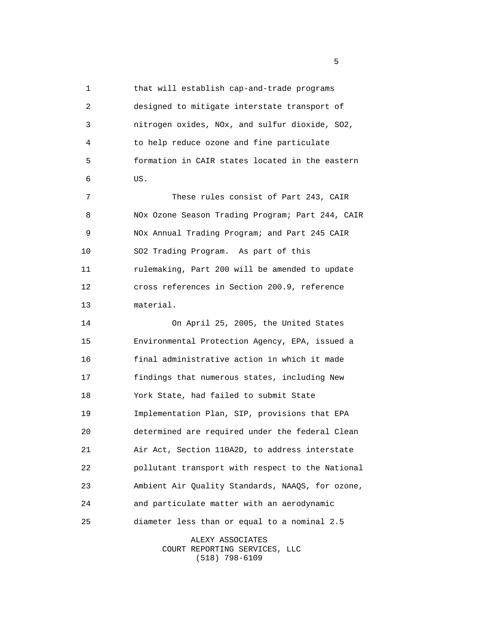5 10 15 20 25 1 that will establish cap-and-trade programs 2 designed to mitigate interstate transport of 3 nitrogen oxides, NOx, and sulfur dioxide, SO2, 4 to help reduce ozone and fine particulate formation in CAIR states located in the eastern 6 US. 7 These rules consist of Part 243, CAIR 8 NOx Ozone Season Trading Program; Part 244, CAIR 9 NOx Annual Trading Program; and Part 245 CAIR SO2 Trading Program. As part of this 11 rulemaking, Part 200 will be amended to update 12 cross references in Section 200.9, reference 13 material. 14 On April 25, 2005, the United States Environmental Protection Agency, EPA, issued a 16 final administrative action in which it made 17 findings that numerous states, including New 18 York State, had failed to submit State 19 Implementation Plan, SIP, provisions that EPA determined are required under the federal Clean 21 Air Act, Section 110A2D, to address interstate 22 pollutant transport with respect to the National 23 Ambient Air Quality Standards, NAAQS, for ozone, 24 and particulate matter with an aerodynamic diameter less than or equal to a nominal 2.5

> ALEXY ASSOCIATES COURT REPORTING SERVICES, LLC (518) 798-6109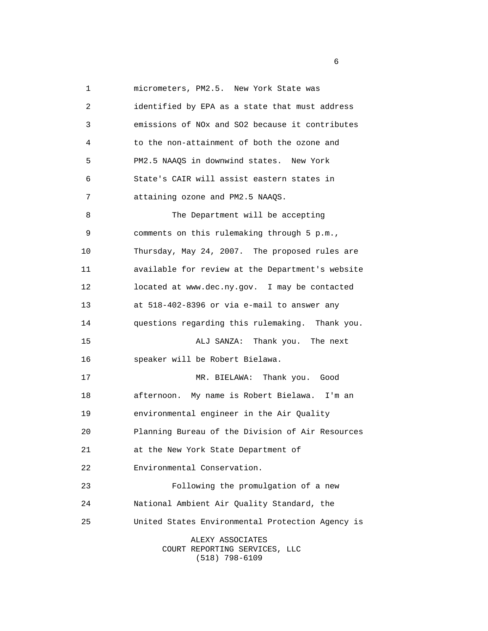5 10 15 20 25 1 micrometers, PM2.5. New York State was 2 identified by EPA as a state that must address 3 emissions of NOx and SO2 because it contributes 4 to the non-attainment of both the ozone and PM2.5 NAAQS in downwind states. New York 6 State's CAIR will assist eastern states in 7 attaining ozone and PM2.5 NAAQS. 8 The Department will be accepting 9 comments on this rulemaking through 5 p.m., Thursday, May 24, 2007. The proposed rules are 11 available for review at the Department's website 12 located at [www.dec.ny.gov.](www.dec.ny.gov) I may be contacted 13 at 518-402-8396 or via e-mail to answer any 14 questions regarding this rulemaking. Thank you. ALJ SANZA: Thank you. The next 16 speaker will be Robert Bielawa. 17 MR. BIELAWA: Thank you. Good 18 afternoon. My name is Robert Bielawa. I'm an 19 environmental engineer in the Air Quality Planning Bureau of the Division of Air Resources 21 at the New York State Department of 22 Environmental Conservation. 23 Following the promulgation of a new 24 National Ambient Air Quality Standard, the United States Environmental Protection Agency is ALEXY ASSOCIATES COURT REPORTING SERVICES, LLC

(518) 798-6109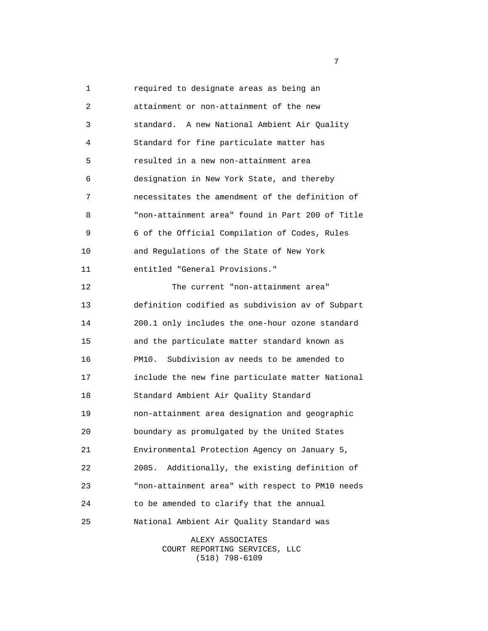5 10 15 20 25 1 required to designate areas as being an 2 attainment or non-attainment of the new 3 standard. A new National Ambient Air Quality 4 Standard for fine particulate matter has resulted in a new non-attainment area 6 designation in New York State, and thereby 7 necessitates the amendment of the definition of 8 "non-attainment area" found in Part 200 of Title 9 6 of the Official Compilation of Codes, Rules and Regulations of the State of New York 11 entitled "General Provisions." 12 The current "non-attainment area" 13 definition codified as subdivision av of Subpart 14 200.1 only includes the one-hour ozone standard and the particulate matter standard known as 16 PM10. Subdivision av needs to be amended to 17 include the new fine particulate matter National 18 Standard Ambient Air Quality Standard 19 non-attainment area designation and geographic boundary as promulgated by the United States 21 Environmental Protection Agency on January 5, 22 2005. Additionally, the existing definition of 23 "non-attainment area" with respect to PM10 needs 24 to be amended to clarify that the annual National Ambient Air Quality Standard was

> ALEXY ASSOCIATES COURT REPORTING SERVICES, LLC (518) 798-6109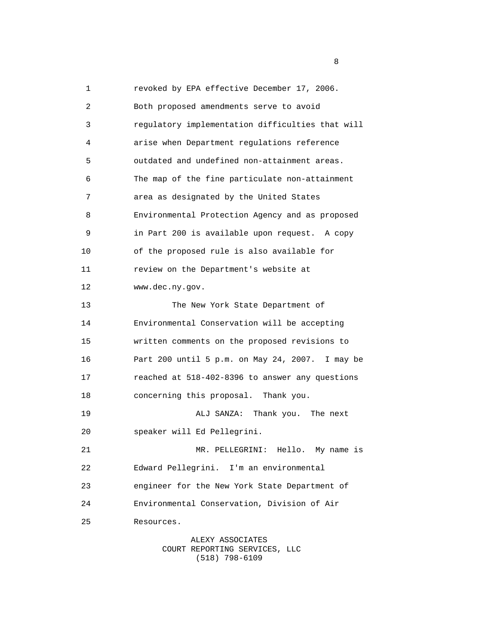5 10 15 20 25 1 revoked by EPA effective December 17, 2006. 2 Both proposed amendments serve to avoid 3 regulatory implementation difficulties that will 4 arise when Department regulations reference outdated and undefined non-attainment areas. 6 The map of the fine particulate non-attainment 7 area as designated by the United States 8 Environmental Protection Agency and as proposed 9 in Part 200 is available upon request. A copy of the proposed rule is also available for 11 review on the Department's website at 12 [www.dec.ny.gov.](www.dec.ny.gov) 13 The New York State Department of 14 Environmental Conservation will be accepting written comments on the proposed revisions to 16 Part 200 until 5 p.m. on May 24, 2007. I may be 17 reached at 518-402-8396 to answer any questions 18 concerning this proposal. Thank you. 19 ALJ SANZA: Thank you. The next speaker will Ed Pellegrini. 21 MR. PELLEGRINI: Hello. My name is 22 Edward Pellegrini. I'm an environmental 23 engineer for the New York State Department of 24 Environmental Conservation, Division of Air Resources.

> ALEXY ASSOCIATES COURT REPORTING SERVICES, LLC (518) 798-6109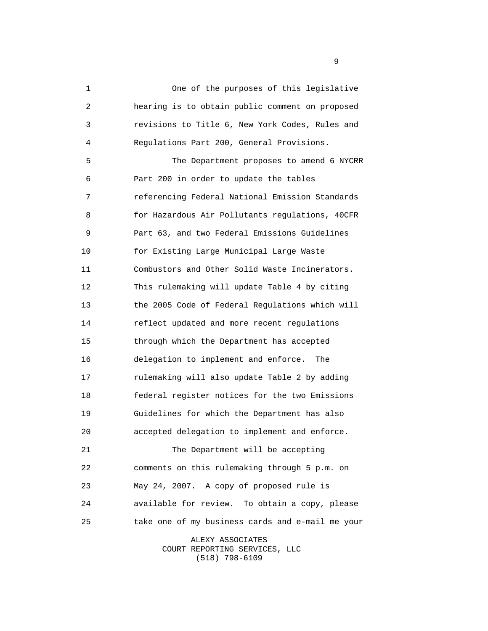5 10 15 20 25 1 One of the purposes of this legislative 2 hearing is to obtain public comment on proposed 3 revisions to Title 6, New York Codes, Rules and 4 Regulations Part 200, General Provisions. The Department proposes to amend 6 NYCRR 6 Part 200 in order to update the tables 7 referencing Federal National Emission Standards 8 for Hazardous Air Pollutants regulations, 40CFR 9 Part 63, and two Federal Emissions Guidelines for Existing Large Municipal Large Waste 11 Combustors and Other Solid Waste Incinerators. 12 This rulemaking will update Table 4 by citing 13 the 2005 Code of Federal Regulations which will 14 reflect updated and more recent regulations through which the Department has accepted 16 delegation to implement and enforce. The 17 rulemaking will also update Table 2 by adding 18 federal register notices for the two Emissions 19 Guidelines for which the Department has also accepted delegation to implement and enforce. 21 The Department will be accepting 22 comments on this rulemaking through 5 p.m. on 23 May 24, 2007. A copy of proposed rule is 24 available for review. To obtain a copy, please take one of my business cards and e-mail me your

> ALEXY ASSOCIATES COURT REPORTING SERVICES, LLC (518) 798-6109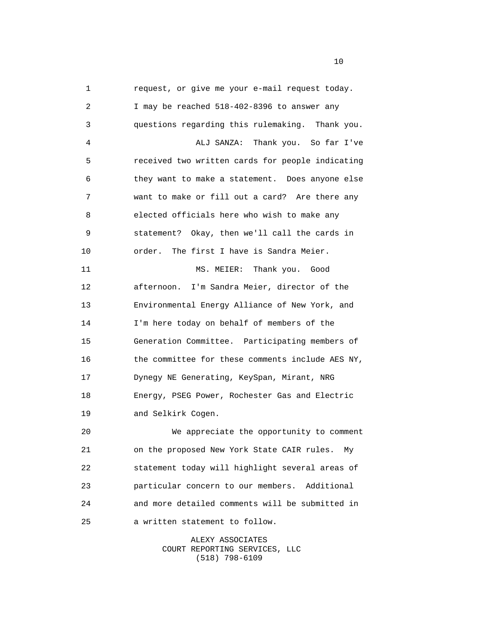5 10 15 20 25 1 request, or give me your e-mail request today. 2 I may be reached 518-402-8396 to answer any 3 questions regarding this rulemaking. Thank you. 4 ALJ SANZA: Thank you. So far I've received two written cards for people indicating 6 they want to make a statement. Does anyone else 7 want to make or fill out a card? Are there any 8 elected officials here who wish to make any 9 statement? Okay, then we'll call the cards in order. The first I have is Sandra Meier. 11 MS. MEIER: Thank you. Good 12 afternoon. I'm Sandra Meier, director of the 13 Environmental Energy Alliance of New York, and 14 I'm here today on behalf of members of the Generation Committee. Participating members of 16 the committee for these comments include AES NY, 17 Dynegy NE Generating, KeySpan, Mirant, NRG 18 Energy, PSEG Power, Rochester Gas and Electric 19 and Selkirk Cogen. We appreciate the opportunity to comment 21 on the proposed New York State CAIR rules. My 22 statement today will highlight several areas of 23 particular concern to our members. Additional 24 and more detailed comments will be submitted in a written statement to follow.

> ALEXY ASSOCIATES COURT REPORTING SERVICES, LLC (518) 798-6109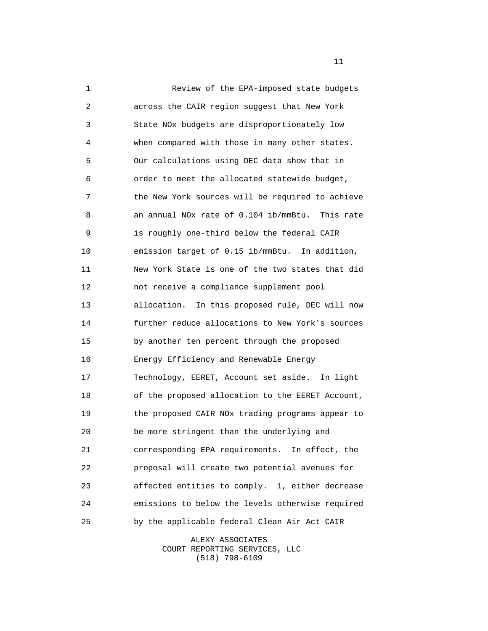5 10 15 20 25 1 Review of the EPA-imposed state budgets 2 across the CAIR region suggest that New York 3 State NOx budgets are disproportionately low 4 when compared with those in many other states. Our calculations using DEC data show that in 6 order to meet the allocated statewide budget, 7 the New York sources will be required to achieve 8 an annual NOx rate of 0.104 ib/mmBtu. This rate 9 is roughly one-third below the federal CAIR emission target of 0.15 ib/mmBtu. In addition, 11 New York State is one of the two states that did 12 not receive a compliance supplement pool 13 allocation. In this proposed rule, DEC will now 14 further reduce allocations to New York's sources by another ten percent through the proposed 16 Energy Efficiency and Renewable Energy 17 Technology, EERET, Account set aside. In light 18 of the proposed allocation to the EERET Account, 19 the proposed CAIR NOx trading programs appear to be more stringent than the underlying and 21 corresponding EPA requirements. In effect, the 22 proposal will create two potential avenues for 23 affected entities to comply. 1, either decrease 24 emissions to below the levels otherwise required by the applicable federal Clean Air Act CAIR

> ALEXY ASSOCIATES COURT REPORTING SERVICES, LLC (518) 798-6109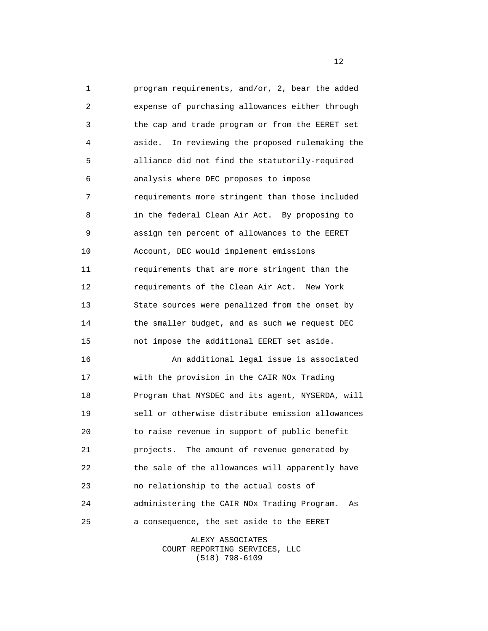5 10 15 20 1 program requirements, and/or, 2, bear the added 2 expense of purchasing allowances either through 3 the cap and trade program or from the EERET set 4 aside. In reviewing the proposed rulemaking the alliance did not find the statutorily-required 6 analysis where DEC proposes to impose 7 requirements more stringent than those included 8 in the federal Clean Air Act. By proposing to 9 assign ten percent of allowances to the EERET Account, DEC would implement emissions 11 requirements that are more stringent than the 12 requirements of the Clean Air Act. New York 13 State sources were penalized from the onset by 14 the smaller budget, and as such we request DEC not impose the additional EERET set aside. 16 An additional legal issue is associated 17 with the provision in the CAIR NOx Trading 18 Program that NYSDEC and its agent, NYSERDA, will 19 sell or otherwise distribute emission allowances to raise revenue in support of public benefit 21 projects. The amount of revenue generated by 22 the sale of the allowances will apparently have 23 no relationship to the actual costs of

 25 24 administering the CAIR NOx Trading Program. As a consequence, the set aside to the EERET

> ALEXY ASSOCIATES COURT REPORTING SERVICES, LLC (518) 798-6109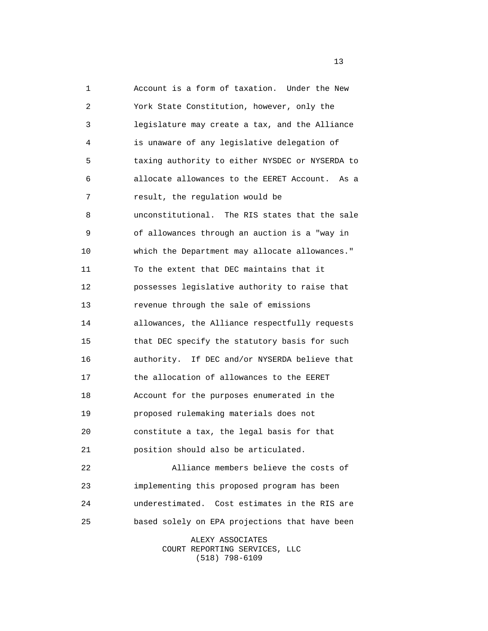5 10 15 20 25 1 Account is a form of taxation. Under the New 2 York State Constitution, however, only the 3 legislature may create a tax, and the Alliance 4 is unaware of any legislative delegation of taxing authority to either NYSDEC or NYSERDA to 6 allocate allowances to the EERET Account. As a 7 result, the regulation would be 8 unconstitutional. The RIS states that the sale 9 of allowances through an auction is a "way in which the Department may allocate allowances." 11 To the extent that DEC maintains that it 12 possesses legislative authority to raise that 13 revenue through the sale of emissions 14 allowances, the Alliance respectfully requests that DEC specify the statutory basis for such 16 authority. If DEC and/or NYSERDA believe that 17 the allocation of allowances to the EERET 18 Account for the purposes enumerated in the 19 proposed rulemaking materials does not constitute a tax, the legal basis for that 21 position should also be articulated. 22 Alliance members believe the costs of 23 implementing this proposed program has been 24 underestimated. Cost estimates in the RIS are based solely on EPA projections that have been

> ALEXY ASSOCIATES COURT REPORTING SERVICES, LLC (518) 798-6109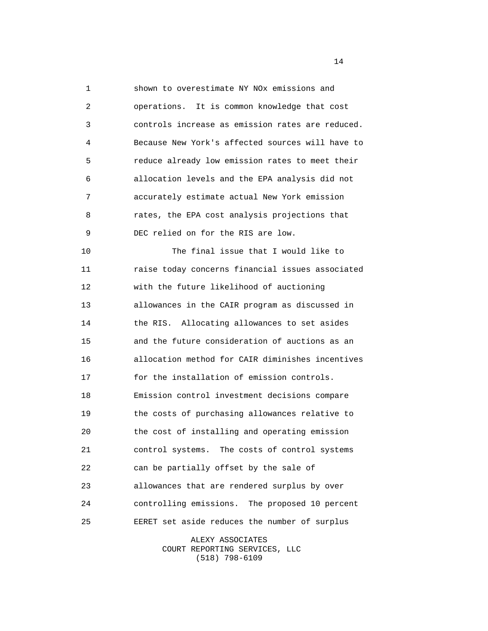5 10 15 20 25 1 shown to overestimate NY NOx emissions and 2 operations. It is common knowledge that cost 3 controls increase as emission rates are reduced. 4 Because New York's affected sources will have to reduce already low emission rates to meet their 6 allocation levels and the EPA analysis did not 7 accurately estimate actual New York emission 8 rates, the EPA cost analysis projections that 9 DEC relied on for the RIS are low. The final issue that I would like to 11 raise today concerns financial issues associated 12 with the future likelihood of auctioning 13 allowances in the CAIR program as discussed in 14 the RIS. Allocating allowances to set asides and the future consideration of auctions as an 16 allocation method for CAIR diminishes incentives 17 for the installation of emission controls. 18 Emission control investment decisions compare 19 the costs of purchasing allowances relative to the cost of installing and operating emission 21 control systems. The costs of control systems 22 can be partially offset by the sale of 23 allowances that are rendered surplus by over 24 controlling emissions. The proposed 10 percent EERET set aside reduces the number of surplus

> ALEXY ASSOCIATES COURT REPORTING SERVICES, LLC (518) 798-6109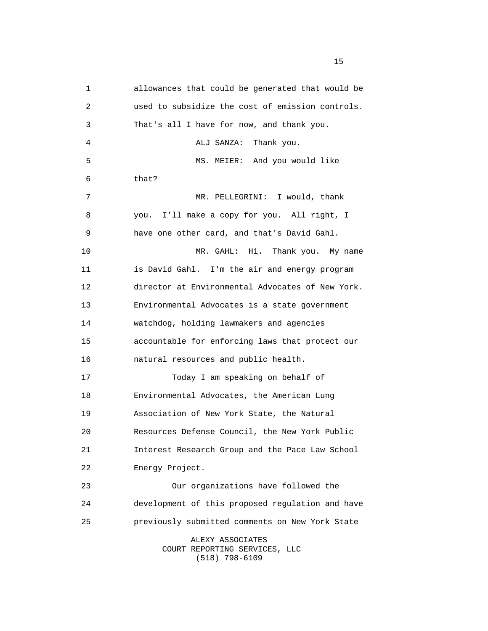5 10 15 20 25 1 allowances that could be generated that would be 2 used to subsidize the cost of emission controls. 3 That's all I have for now, and thank you. 4 ALJ SANZA: Thank you. MS. MEIER: And you would like 6 that? 7 MR. PELLEGRINI: I would, thank 8 you. I'll make a copy for you. All right, I 9 have one other card, and that's David Gahl. MR. GAHL: Hi. Thank you. My name 11 is David Gahl. I'm the air and energy program 12 director at Environmental Advocates of New York. 13 Environmental Advocates is a state government 14 watchdog, holding lawmakers and agencies accountable for enforcing laws that protect our 16 natural resources and public health. 17 Today I am speaking on behalf of 18 Environmental Advocates, the American Lung 19 Association of New York State, the Natural Resources Defense Council, the New York Public 21 Interest Research Group and the Pace Law School 22 Energy Project. 23 Our organizations have followed the 24 development of this proposed regulation and have previously submitted comments on New York State ALEXY ASSOCIATES

COURT REPORTING SERVICES, LLC (518) 798-6109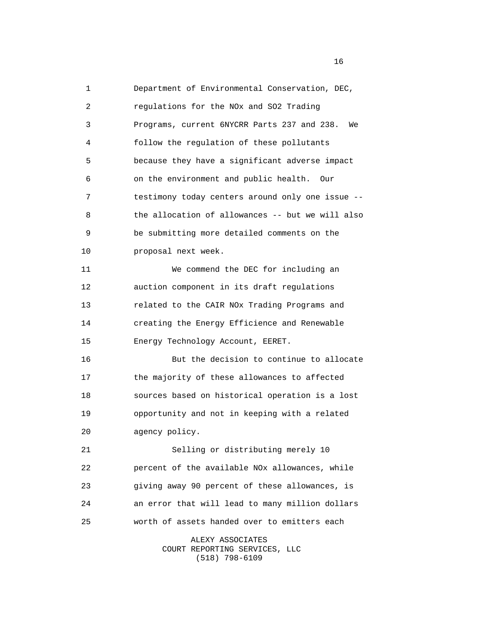5 10 15 20 25 1 Department of Environmental Conservation, DEC, 2 regulations for the NOx and SO2 Trading 3 Programs, current 6NYCRR Parts 237 and 238. We 4 follow the regulation of these pollutants because they have a significant adverse impact 6 on the environment and public health. Our 7 testimony today centers around only one issue -- 8 the allocation of allowances -- but we will also 9 be submitting more detailed comments on the proposal next week. 11 We commend the DEC for including an 12 auction component in its draft regulations 13 related to the CAIR NOx Trading Programs and 14 creating the Energy Efficience and Renewable Energy Technology Account, EERET. 16 But the decision to continue to allocate 17 the majority of these allowances to affected 18 sources based on historical operation is a lost 19 opportunity and not in keeping with a related agency policy. 21 Selling or distributing merely 10 22 percent of the available NOx allowances, while 23 giving away 90 percent of these allowances, is 24 an error that will lead to many million dollars worth of assets handed over to emitters each

ALEXY ASSOCIATES COURT REPORTING SERVICES, LLC (518) 798-6109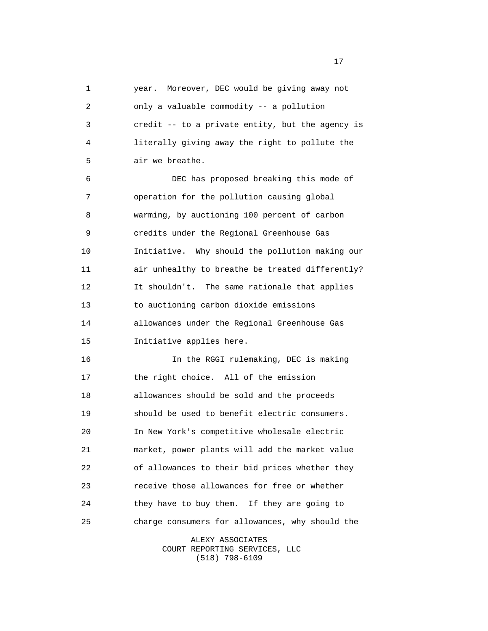5 10 15 20 25 1 year. Moreover, DEC would be giving away not 2 only a valuable commodity -- a pollution 3 credit -- to a private entity, but the agency is 4 literally giving away the right to pollute the air we breathe. 6 DEC has proposed breaking this mode of 7 operation for the pollution causing global 8 warming, by auctioning 100 percent of carbon 9 credits under the Regional Greenhouse Gas Initiative. Why should the pollution making our 11 air unhealthy to breathe be treated differently? 12 It shouldn't. The same rationale that applies 13 to auctioning carbon dioxide emissions 14 allowances under the Regional Greenhouse Gas Initiative applies here. 16 In the RGGI rulemaking, DEC is making 17 the right choice. All of the emission 18 allowances should be sold and the proceeds 19 should be used to benefit electric consumers. In New York's competitive wholesale electric 21 market, power plants will add the market value 22 of allowances to their bid prices whether they 23 receive those allowances for free or whether 24 they have to buy them. If they are going to charge consumers for allowances, why should the

> ALEXY ASSOCIATES COURT REPORTING SERVICES, LLC (518) 798-6109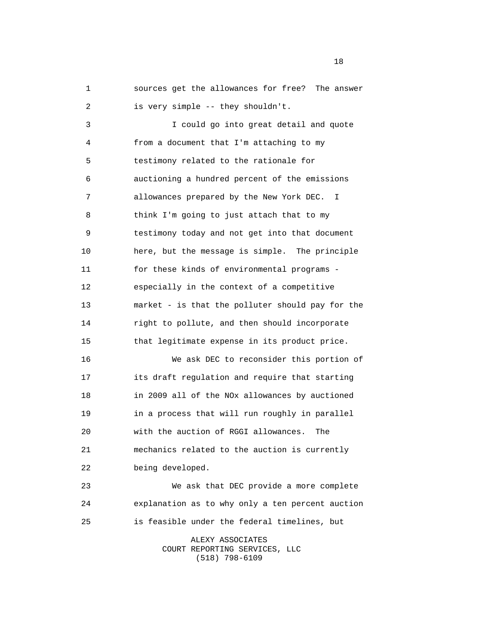5 10 15  $20^{\circ}$  25 1 sources get the allowances for free? The answer 2 is very simple -- they shouldn't. 3 I could go into great detail and quote 4 from a document that I'm attaching to my testimony related to the rationale for 6 auctioning a hundred percent of the emissions 7 allowances prepared by the New York DEC. I 8 think I'm going to just attach that to my 9 testimony today and not get into that document here, but the message is simple. The principle 11 for these kinds of environmental programs - 12 especially in the context of a competitive 13 market - is that the polluter should pay for the 14 right to pollute, and then should incorporate that legitimate expense in its product price. 16 We ask DEC to reconsider this portion of 17 its draft regulation and require that starting 18 in 2009 all of the NOx allowances by auctioned 19 **in a process that will run roughly in parallel** with the auction of RGGI allowances. The 21 mechanics related to the auction is currently 22 being developed. 23 We ask that DEC provide a more complete 24 explanation as to why only a ten percent auction is feasible under the federal timelines, but

ALEXY ASSOCIATES COURT REPORTING SERVICES, LLC (518) 798-6109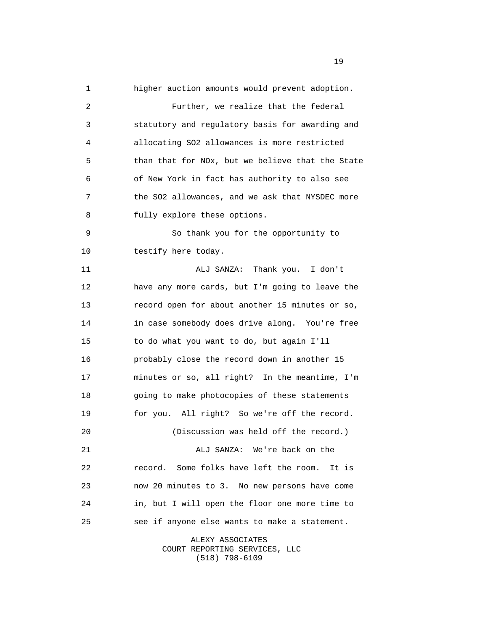5 10 15 20 25 1 higher auction amounts would prevent adoption. 2 Further, we realize that the federal 3 statutory and regulatory basis for awarding and 4 allocating SO2 allowances is more restricted than that for NOx, but we believe that the State 6 of New York in fact has authority to also see 7 the SO2 allowances, and we ask that NYSDEC more 8 fully explore these options. 9 So thank you for the opportunity to testify here today. 11 ALJ SANZA: Thank you. I don't 12 have any more cards, but I'm going to leave the 13 record open for about another 15 minutes or so, 14 in case somebody does drive along. You're free to do what you want to do, but again I'll 16 probably close the record down in another 15 17 minutes or so, all right? In the meantime, I'm 18 going to make photocopies of these statements 19 for you. All right? So we're off the record. (Discussion was held off the record.) 21 ALJ SANZA: We're back on the 22 record. Some folks have left the room. It is 23 now 20 minutes to 3. No new persons have come 24 in, but I will open the floor one more time to see if anyone else wants to make a statement.

> ALEXY ASSOCIATES COURT REPORTING SERVICES, LLC (518) 798-6109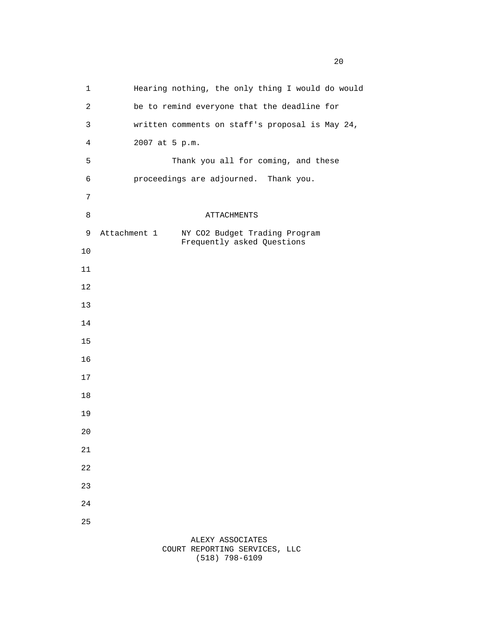1 Hearing nothing, the only thing I would do would 2 be to remind everyone that the deadline for 3 written comments on staff's proposal is May 24, 4 2007 at 5 p.m. Thank you all for coming, and these 6 proceedings are adjourned. Thank you. 9 Attachment 1 ATTACHMENTS NY CO2 Budget Trading Program Frequently asked Questions ALEXY ASSOCIATES

COURT REPORTING SERVICES, LLC (518) 798-6109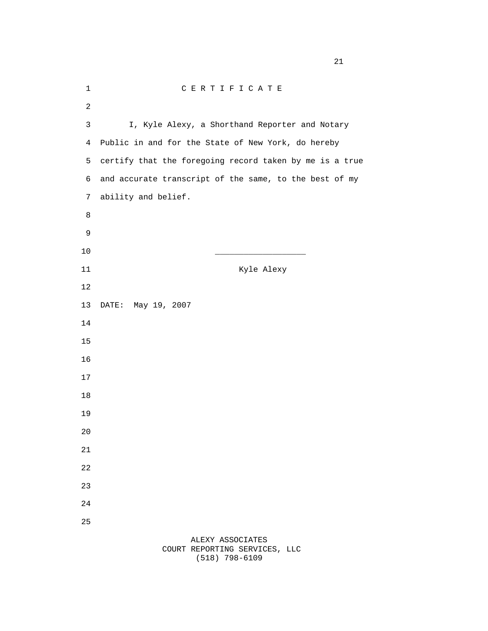| 1              | CERTIFICATE                                             |
|----------------|---------------------------------------------------------|
| $\overline{c}$ |                                                         |
| 3              | I, Kyle Alexy, a Shorthand Reporter and Notary          |
| $\overline{4}$ | Public in and for the State of New York, do hereby      |
| 5              | certify that the foregoing record taken by me is a true |
| б              | and accurate transcript of the same, to the best of my  |
| 7              | ability and belief.                                     |
| 8              |                                                         |
| 9              |                                                         |
| $10$           |                                                         |
| $11\,$         | Kyle Alexy                                              |
| 12             |                                                         |
| 13             | DATE: May 19, 2007                                      |
| 14             |                                                         |
| 15             |                                                         |
| 16             |                                                         |
| 17             |                                                         |
| 18             |                                                         |
| 19             |                                                         |
| $20$           |                                                         |
| 21             |                                                         |
| 22             |                                                         |
| 23             |                                                         |
| 24             |                                                         |
| 25             |                                                         |
|                | ALEXY ASSOCIATES<br>COURT REPORTING SERVICES, LLC       |

(518) 798-6109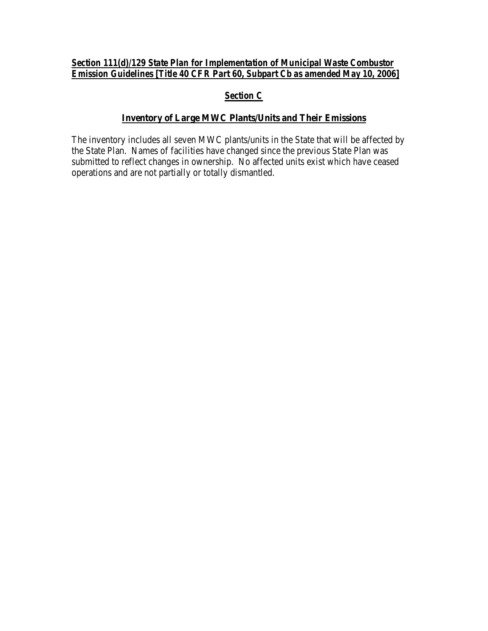# *Section 111(d)/129 State Plan for Implementation of Municipal Waste Combustor Emission Guidelines [Title 40 CFR Part 60, Subpart Cb as amended May 10, 2006]*

# *Section C*

# **Inventory of Large MWC Plants/Units and Their Emissions**

The inventory includes all seven MWC plants/units in the State that will be affected by the State Plan. Names of facilities have changed since the previous State Plan was submitted to reflect changes in ownership. No affected units exist which have ceased operations and are not partially or totally dismantled.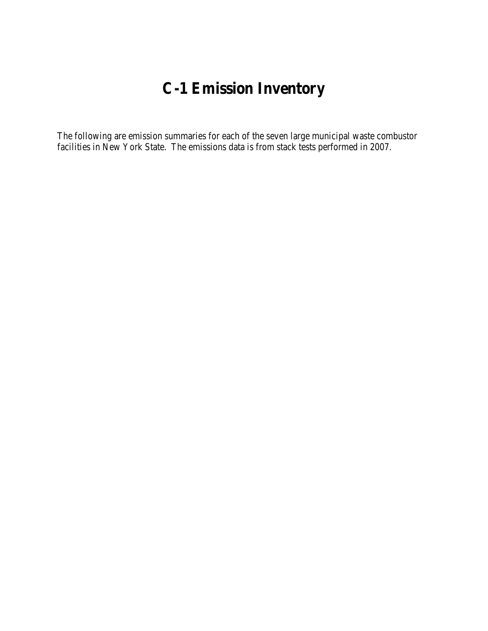# **C-1 Emission Inventory**

The following are emission summaries for each of the seven large municipal waste combustor facilities in New York State. The emissions data is from stack tests performed in 2007.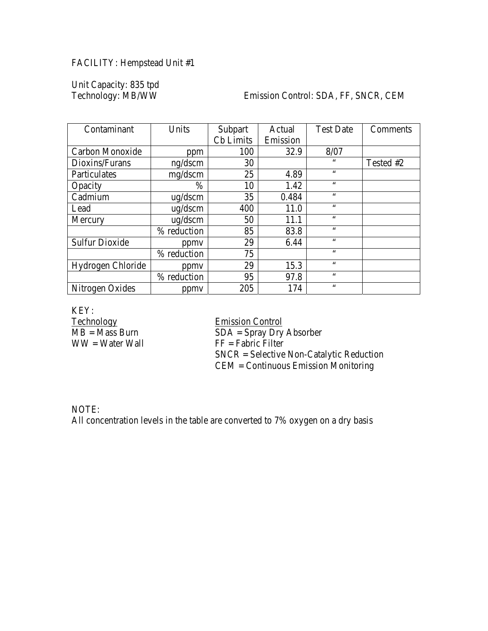# FACILITY: Hempstead Unit #1

Unit Capacity: 835 tpd

#### Emission Control: SDA, FF, SNCR, CEM

| Contaminant           | Units        | Subpart          | Actual   | <b>Test Date</b> | Comments  |
|-----------------------|--------------|------------------|----------|------------------|-----------|
|                       |              | <b>Cb</b> Limits | Emission |                  |           |
| Carbon Monoxide       | ppm          | 100              | 32.9     | 8/07             |           |
| Dioxins/Furans        | ng/dscm      | 30               |          | 66               | Tested #2 |
| Particulates          | mg/dscm      | 25               | 4.89     | $\zeta \zeta$    |           |
| Opacity               | $\%$         | 10               | 1.42     | 66               |           |
| Cadmium               | $\mu$ g/dscm | 35               | 0.484    | $\zeta \zeta$    |           |
| Lead                  | $\mu$ g/dscm | 400              | 11.0     | $\zeta \zeta$    |           |
| Mercury               | ug/dscm      | 50               | 11.1     | $\zeta$ $\zeta$  |           |
|                       | % reduction  | 85               | 83.8     | 66               |           |
| <b>Sulfur Dioxide</b> | ppmy         | 29               | 6.44     | $\zeta \zeta$    |           |
|                       | % reduction  | 75               |          | $\zeta$ $\zeta$  |           |
| Hydrogen Chloride     | ppmy         | 29               | 15.3     | $\zeta \zeta$    |           |
|                       | % reduction  | 95               | 97.8     | $\zeta$ $\zeta$  |           |
| Nitrogen Oxides       | ppmy         | 205              | 174      | $\zeta \zeta$    |           |

KEY:<br>Technology Technology<br>
MB = Mass Burn<br>
MB = Mass Burn<br>
The SDA = Spray Dry

 $SDA =$  Spray Dry Absorber  $WW = Water Wall$  FF = Fabric Filter SNCR = Selective Non-Catalytic Reduction CEM = Continuous Emission Monitoring

NOTE: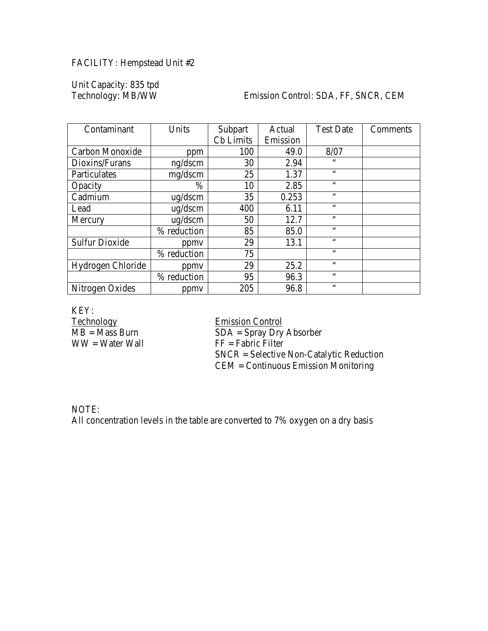# FACILITY: Hempstead Unit #2

Unit Capacity: 835 tpd

#### Emission Control: SDA, FF, SNCR, CEM

| Contaminant           | Units        | Subpart          | Actual   | <b>Test Date</b> | Comments |
|-----------------------|--------------|------------------|----------|------------------|----------|
|                       |              | <b>Cb</b> Limits | Emission |                  |          |
| Carbon Monoxide       | ppm          | 100              | 49.0     | 8/07             |          |
| Dioxins/Furans        | ng/dscm      | 30               | 2.94     | 66               |          |
| Particulates          | mg/dscm      | 25               | 1.37     | $\zeta \zeta$    |          |
| Opacity               | $\%$         | 10               | 2.85     | 66               |          |
| Cadmium               | $\mu$ g/dscm | 35               | 0.253    | 66               |          |
| Lead                  | $\mu$ g/dscm | 400              | 6.11     | 66               |          |
| Mercury               | ug/dscm      | 50               | 12.7     | $\zeta \zeta$    |          |
|                       | % reduction  | 85               | 85.0     | 66               |          |
| <b>Sulfur Dioxide</b> | ppmy         | 29               | 13.1     | $\zeta \zeta$    |          |
|                       | % reduction  | 75               |          | $\zeta \zeta$    |          |
| Hydrogen Chloride     | ppmy         | 29               | 25.2     | 66               |          |
|                       | % reduction  | 95               | 96.3     | $\zeta$ $\zeta$  |          |
| Nitrogen Oxides       | ppmy         | 205              | 96.8     | $\zeta \zeta$    |          |

KEY:<br>Technology Technology<br>
MB = Mass Burn<br>
MB = Mass Burn<br>
The SDA = Spray Dry

 $SDA =$  Spray Dry Absorber  $WW = Water Wall$  FF = Fabric Filter SNCR = Selective Non-Catalytic Reduction CEM = Continuous Emission Monitoring

NOTE: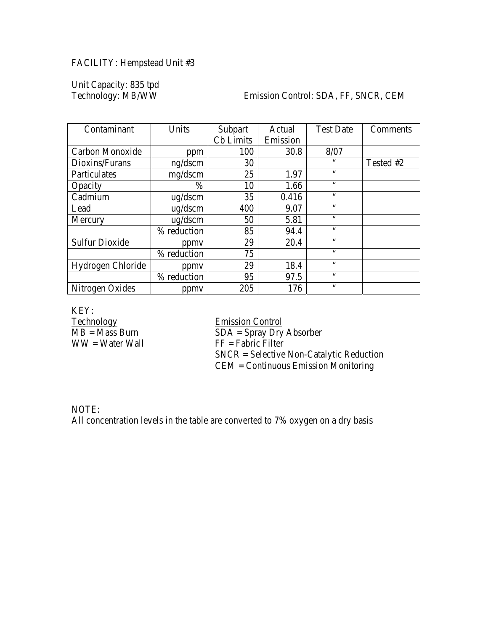# FACILITY: Hempstead Unit #3

Unit Capacity: 835 tpd

#### Emission Control: SDA, FF, SNCR, CEM

| Contaminant           | Units        | Subpart          | Actual   | <b>Test Date</b> | Comments  |
|-----------------------|--------------|------------------|----------|------------------|-----------|
|                       |              | <b>Cb</b> Limits | Emission |                  |           |
| Carbon Monoxide       | ppm          | 100              | 30.8     | 8/07             |           |
| Dioxins/Furans        | ng/dscm      | 30               |          | 66               | Tested #2 |
| Particulates          | mg/dscm      | 25               | 1.97     | $\zeta \zeta$    |           |
| Opacity               | $\%$         | 10               | 1.66     | 66               |           |
| Cadmium               | $\mu$ g/dscm | 35               | 0.416    | $\zeta \zeta$    |           |
| Lead                  | $\mu$ g/dscm | 400              | 9.07     | 66               |           |
| Mercury               | ug/dscm      | 50               | 5.81     | $\zeta \zeta$    |           |
|                       | % reduction  | 85               | 94.4     | $\zeta \zeta$    |           |
| <b>Sulfur Dioxide</b> | ppmy         | 29               | 20.4     | 66               |           |
|                       | % reduction  | 75               |          | $\zeta$ $\zeta$  |           |
| Hydrogen Chloride     | ppmy         | 29               | 18.4     | $\zeta \zeta$    |           |
|                       | % reduction  | 95               | 97.5     | $\zeta$ $\zeta$  |           |
| Nitrogen Oxides       | ppmy         | 205              | 176      | $\zeta \zeta$    |           |

KEY:<br>Technology Technology<br>
MB = Mass Burn<br>
MB = Mass Burn<br>
The SDA = Spray Dry

 $SDA =$  Spray Dry Absorber  $WW = Water Wall$  FF = Fabric Filter SNCR = Selective Non-Catalytic Reduction CEM = Continuous Emission Monitoring

NOTE: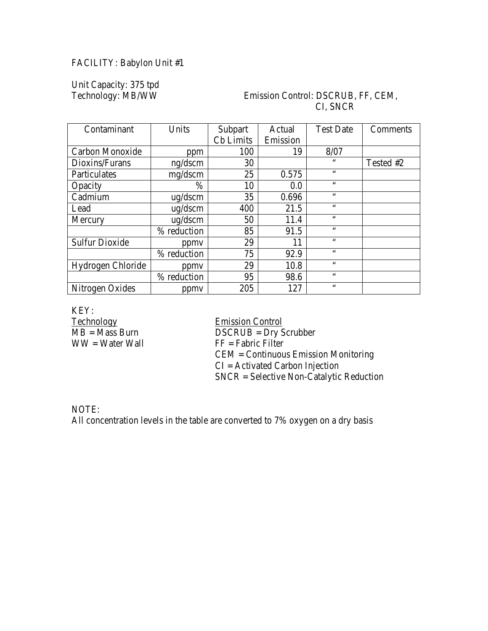# FACILITY: Babylon Unit #1

Unit Capacity: 375 tpd

### Emission Control: DSCRUB, FF, CEM, CI, SNCR

| Contaminant           | Units        | Subpart   | Actual   | <b>Test Date</b> | Comments  |
|-----------------------|--------------|-----------|----------|------------------|-----------|
|                       |              | Cb Limits | Emission |                  |           |
| Carbon Monoxide       | ppm          | 100       | 19       | 8/07             |           |
| Dioxins/Furans        | ng/dscm      | 30        |          | 66               | Tested #2 |
| Particulates          | mg/dscm      | 25        | 0.575    | 66               |           |
| Opacity               | $\%$         | 10        | 0.0      | 66               |           |
| Cadmium               | $\mu$ g/dscm | 35        | 0.696    | $\zeta \zeta$    |           |
| Lead                  | $\mu$ g/dscm | 400       | 21.5     | 66               |           |
| Mercury               | ug/dscm      | 50        | 11.4     | $\zeta \zeta$    |           |
|                       | % reduction  | 85        | 91.5     | 66               |           |
| <b>Sulfur Dioxide</b> | ppmy         | 29        | 11       | $\leq$ $\leq$    |           |
|                       | % reduction  | 75        | 92.9     | 66               |           |
| Hydrogen Chloride     | ppmy         | 29        | 10.8     | 66               |           |
|                       | % reduction  | 95        | 98.6     | $\zeta \zeta$    |           |
| Nitrogen Oxides       | ppmy         | 205       | 127      | 66               |           |

KEY:<br>Technology

Technology<br>
MB = Mass Burn<br>
DSCRUB = Dry S  $\overline{\text{DSCRUB}} = \overline{\text{Dry}}$  Scrubber  $WW = Water Wall$  FF = Fabric Filter CEM = Continuous Emission Monitoring  $CI =$  Activated Carbon Injection SNCR = Selective Non-Catalytic Reduction

NOTE: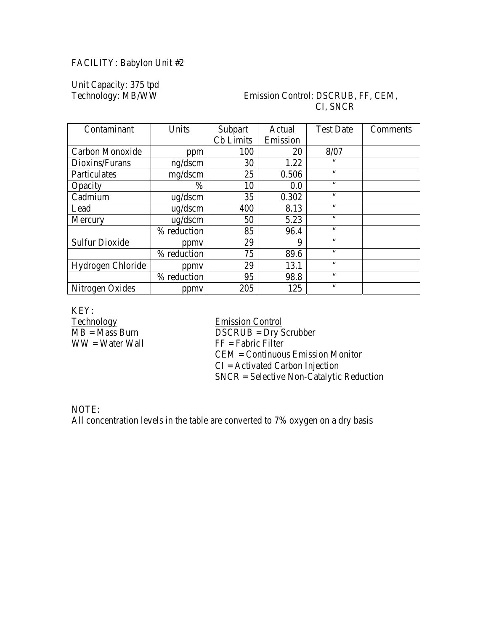# FACILITY: Babylon Unit #2

Unit Capacity: 375 tpd

# Emission Control: DSCRUB, FF, CEM, CI, SNCR

| Contaminant           | Units        | Subpart   | Actual   | <b>Test Date</b> | Comments |
|-----------------------|--------------|-----------|----------|------------------|----------|
|                       |              | Cb Limits | Emission |                  |          |
| Carbon Monoxide       | ppm          | 100       | 20       | 8/07             |          |
| Dioxins/Furans        | ng/dscm      | 30        | 1.22     | $\zeta$ $\zeta$  |          |
| Particulates          | mg/dscm      | 25        | 0.506    | $\zeta \zeta$    |          |
| Opacity               | $\%$         | 10        | 0.0      | $\zeta \zeta$    |          |
| Cadmium               | $\mu$ g/dscm | 35        | 0.302    | $\zeta \zeta$    |          |
| Lead                  | $\mu$ g/dscm | 400       | 8.13     | 66               |          |
| Mercury               | ug/dscm      | 50        | 5.23     | $\zeta$ $\zeta$  |          |
|                       | % reduction  | 85        | 96.4     | $\zeta$ $\zeta$  |          |
| <b>Sulfur Dioxide</b> | ppmy         | 29        | 9        | $\zeta \zeta$    |          |
|                       | % reduction  | 75        | 89.6     | $\zeta$ $\zeta$  |          |
| Hydrogen Chloride     | ppmy         | 29        | 13.1     | $\zeta \zeta$    |          |
|                       | % reduction  | 95        | 98.8     | $\zeta \zeta$    |          |
| Nitrogen Oxides       | ppmy         | 205       | 125      | $\zeta \zeta$    |          |

KEY:<br>Technology

Technology<br>
MB = Mass Burn<br>
DSCRUB = Dry S  $\overline{\text{DSCRUB}} = \overline{\text{Dry}}$  Scrubber  $WW = Water Wall$  FF = Fabric Filter CEM = Continuous Emission Monitor  $CI =$  Activated Carbon Injection SNCR = Selective Non-Catalytic Reduction

NOTE: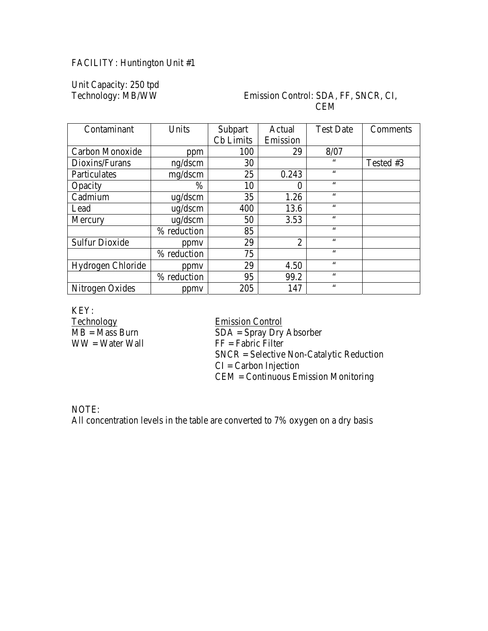# FACILITY: Huntington Unit #1

Unit Capacity: 250 tpd

#### Emission Control: SDA, FF, SNCR, CI, CEM

| Contaminant           | Units        | Subpart   | Actual         | <b>Test Date</b> | Comments  |
|-----------------------|--------------|-----------|----------------|------------------|-----------|
|                       |              | Cb Limits | Emission       |                  |           |
| Carbon Monoxide       | ppm          | 100       | 29             | 8/07             |           |
| Dioxins/Furans        | ng/dscm      | 30        |                | 66               | Tested #3 |
| Particulates          | mg/dscm      | 25        | 0.243          | $\zeta \zeta$    |           |
| Opacity               | $\%$         | 10        |                | 66               |           |
| Cadmium               | $\mu$ g/dscm | 35        | 1.26           | $\zeta \zeta$    |           |
| Lead                  | $\mu$ g/dscm | 400       | 13.6           | 66               |           |
| Mercury               | ug/dscm      | 50        | 3.53           | $\zeta \zeta$    |           |
|                       | % reduction  | 85        |                | 66               |           |
| <b>Sulfur Dioxide</b> | ppmy         | 29        | $\overline{2}$ | 66               |           |
|                       | % reduction  | 75        |                | 66               |           |
| Hydrogen Chloride     | ppmy         | 29        | 4.50           | $\zeta \zeta$    |           |
|                       | % reduction  | 95        | 99.2           | 66               |           |
| Nitrogen Oxides       | ppmy         | 205       | 147            | 66               |           |

KEY:<br>Technology

Technology<br>
MB = Mass Burn<br>
MB = Mass Burn<br>
The SDA = Spray Dry  $\overline{SDA} =$  Spray Dry Absorber  $WW = Water Wall$  FF = Fabric Filter SNCR = Selective Non-Catalytic Reduction  $CI = Carbon Injection$ CEM = Continuous Emission Monitoring

NOTE: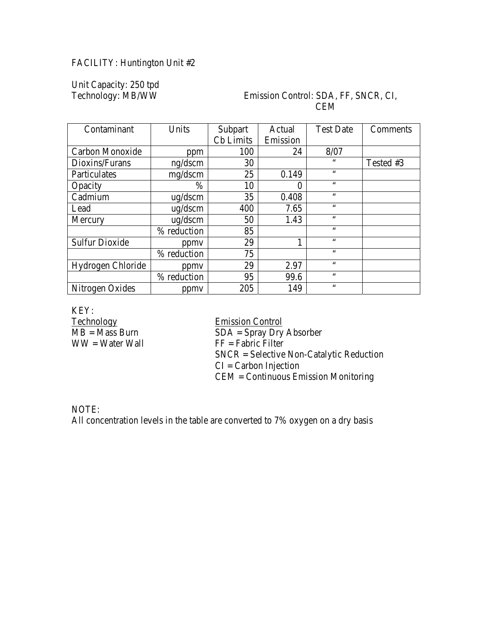# FACILITY: Huntington Unit #2

Unit Capacity: 250 tpd

#### Emission Control: SDA, FF, SNCR, CI, CEM

| Contaminant           | Units        | Subpart   | Actual   | <b>Test Date</b> | Comments  |
|-----------------------|--------------|-----------|----------|------------------|-----------|
|                       |              | Cb Limits | Emission |                  |           |
| Carbon Monoxide       | ppm          | 100       | 24       | 8/07             |           |
| Dioxins/Furans        | ng/dscm      | 30        |          | 66               | Tested #3 |
| Particulates          | mg/dscm      | 25        | 0.149    | $\zeta \zeta$    |           |
| Opacity               | $\%$         | 10        |          | 66               |           |
| Cadmium               | $\mu$ g/dscm | 35        | 0.408    | $\zeta \zeta$    |           |
| Lead                  | $\mu$ g/dscm | 400       | 7.65     | 66               |           |
| Mercury               | ug/dscm      | 50        | 1.43     | $\zeta \zeta$    |           |
|                       | % reduction  | 85        |          | 66               |           |
| <b>Sulfur Dioxide</b> | ppmy         | 29        |          | 66               |           |
|                       | % reduction  | 75        |          | 66               |           |
| Hydrogen Chloride     | ppmy         | 29        | 2.97     | $\zeta \zeta$    |           |
|                       | % reduction  | 95        | 99.6     | 66               |           |
| Nitrogen Oxides       | ppmy         | 205       | 149      | 66               |           |

KEY:<br>Technology

Technology<br>
MB = Mass Burn<br>
MB = Mass Burn<br>
The SDA = Spray Dry  $SDA =$  Spray Dry Absorber  $WW = Water Wall$  FF = Fabric Filter SNCR = Selective Non-Catalytic Reduction  $CI = Carbon Injection$ CEM = Continuous Emission Monitoring

NOTE: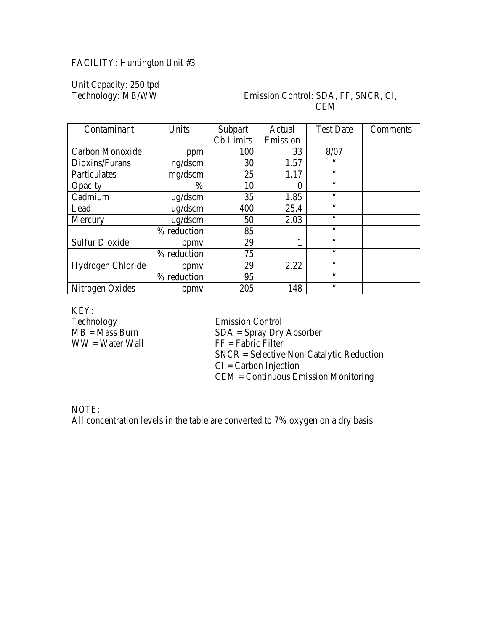# FACILITY: Huntington Unit #3

Unit Capacity: 250 tpd

#### Emission Control: SDA, FF, SNCR, CI, CEM

| Contaminant           | Units        | Subpart          | Actual   | <b>Test Date</b> | Comments |
|-----------------------|--------------|------------------|----------|------------------|----------|
|                       |              | <b>Cb</b> Limits | Emission |                  |          |
| Carbon Monoxide       | ppm          | 100              | 33       | 8/07             |          |
| Dioxins/Furans        | ng/dscm      | 30               | 1.57     | $\zeta \zeta$    |          |
| Particulates          | mg/dscm      | 25               | 1.17     | $\zeta \zeta$    |          |
| Opacity               | $\%$         | 10               | 0        | $\zeta \zeta$    |          |
| Cadmium               | $\mu$ g/dscm | 35               | 1.85     | $\zeta \zeta$    |          |
| Lead                  | $\mu$ g/dscm | 400              | 25.4     | $\zeta \zeta$    |          |
| Mercury               | ug/dscm      | 50               | 2.03     | $\zeta \zeta$    |          |
|                       | % reduction  | 85               |          | $\zeta \zeta$    |          |
| <b>Sulfur Dioxide</b> | ppmy         | 29               |          | $\zeta \zeta$    |          |
|                       | % reduction  | 75               |          | $\zeta \zeta$    |          |
| Hydrogen Chloride     | ppmy         | 29               | 2.22     | $\zeta \zeta$    |          |
|                       | % reduction  | 95               |          | $\zeta \zeta$    |          |
| Nitrogen Oxides       | ppmy         | 205              | 148      | $\zeta \zeta$    |          |

KEY:<br>Technology

Technology<br>
MB = Mass Burn<br>
MB = Mass Burn<br>
The SDA = Spray Dry  $SDA =$  Spray Dry Absorber  $WW = Water Wall$  FF = Fabric Filter SNCR = Selective Non-Catalytic Reduction  $CI = Carbon Injection$ CEM = Continuous Emission Monitoring

NOTE: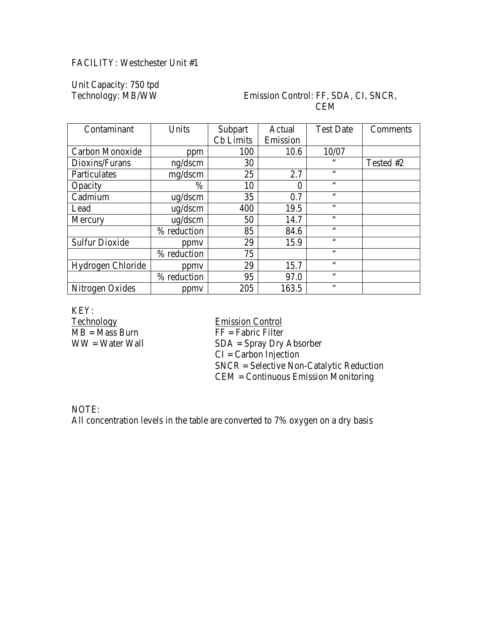# FACILITY: Westchester Unit #1

Unit Capacity: 750 tpd

#### Emission Control: FF, SDA, CI, SNCR, **CEM**

| Contaminant           | Units        | Subpart   | Actual   | <b>Test Date</b> | Comments  |
|-----------------------|--------------|-----------|----------|------------------|-----------|
|                       |              | Cb Limits | Emission |                  |           |
| Carbon Monoxide       | ppm          | 100       | 10.6     | 10/07            |           |
| Dioxins/Furans        | ng/dscm      | 30        |          | 66               | Tested #2 |
| Particulates          | mg/dscm      | 25        | 2.7      | $\zeta \zeta$    |           |
| Opacity               | $\%$         | 10        |          | $\zeta \zeta$    |           |
| Cadmium               | $\mu$ g/dscm | 35        | 0.7      | $\zeta \zeta$    |           |
| Lead                  | $\mu$ g/dscm | 400       | 19.5     | $\zeta \zeta$    |           |
| Mercury               | ug/dscm      | 50        | 14.7     | $\zeta \zeta$    |           |
|                       | % reduction  | 85        | 84.6     | 66               |           |
| <b>Sulfur Dioxide</b> | ppmy         | 29        | 15.9     | $\zeta \zeta$    |           |
|                       | % reduction  | 75        |          | $\zeta \zeta$    |           |
| Hydrogen Chloride     | ppmy         | 29        | 15.7     | $\zeta \zeta$    |           |
|                       | % reduction  | 95        | 97.0     | $\zeta \zeta$    |           |
| Nitrogen Oxides       | ppmy         | 205       | 163.5    | $\zeta$ $\zeta$  |           |

KEY:<br>Technology Technology<br>
MB = Mass Burn<br>
TF = Fabric Filter

 $\overline{FF}$  = Fabric Filter  $WW = Water Wall$   $SDA = Spray Dry Absorber$ CI = Carbon Injection SNCR = Selective Non-Catalytic Reduction CEM = Continuous Emission Monitoring

NOTE: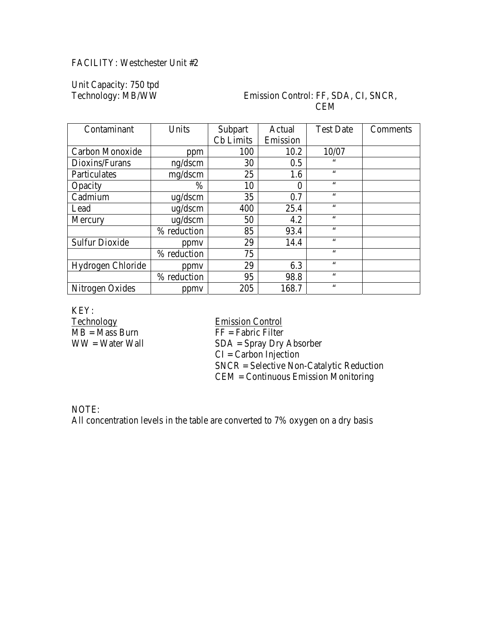# FACILITY: Westchester Unit #2

Unit Capacity: 750 tpd

#### Emission Control: FF, SDA, CI, SNCR, **CEM**

| Contaminant           | Units        | Subpart   | Actual   | <b>Test Date</b> | Comments |
|-----------------------|--------------|-----------|----------|------------------|----------|
|                       |              | Cb Limits | Emission |                  |          |
| Carbon Monoxide       | ppm          | 100       | 10.2     | 10/07            |          |
| Dioxins/Furans        | ng/dscm      | 30        | 0.5      | $\zeta \zeta$    |          |
| Particulates          | mg/dscm      | 25        | 1.6      | $\zeta \zeta$    |          |
| Opacity               | $\%$         | 10        |          | $\zeta \zeta$    |          |
| Cadmium               | $\mu$ g/dscm | 35        | 0.7      | $\zeta \zeta$    |          |
| Lead                  | $\mu$ g/dscm | 400       | 25.4     | $\zeta \zeta$    |          |
| Mercury               | ug/dscm      | 50        | 4.2      | $\zeta \zeta$    |          |
|                       | % reduction  | 85        | 93.4     | $\zeta \zeta$    |          |
| <b>Sulfur Dioxide</b> | ppmy         | 29        | 14.4     | $\zeta \zeta$    |          |
|                       | % reduction  | 75        |          | $\zeta \zeta$    |          |
| Hydrogen Chloride     | ppmy         | 29        | 6.3      | $\zeta \zeta$    |          |
|                       | % reduction  | 95        | 98.8     | $\zeta \zeta$    |          |
| Nitrogen Oxides       | ppmy         | 205       | 168.7    | $\zeta$ $\zeta$  |          |

KEY:<br>Technology Technology<br>
MB = Mass Burn<br>
TF = Fabric Filter

 $\overline{FF}$  = Fabric Filter  $WW = Water Wall$   $SDA = Spray Dry Absorber$ CI = Carbon Injection SNCR = Selective Non-Catalytic Reduction CEM = Continuous Emission Monitoring

NOTE: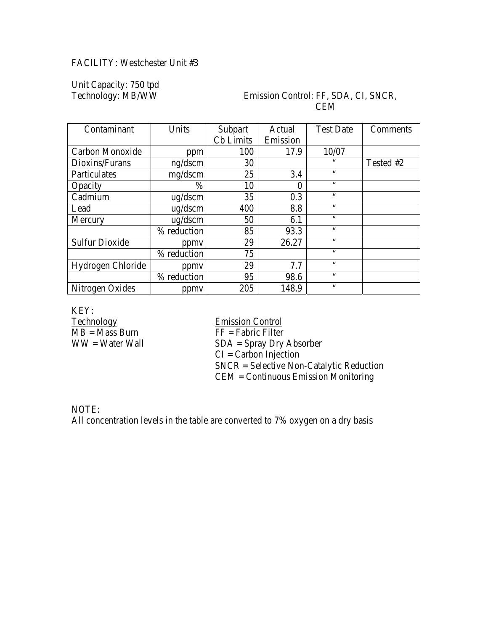# FACILITY: Westchester Unit #3

Unit Capacity: 750 tpd

#### Emission Control: FF, SDA, CI, SNCR, **CEM**

| Contaminant           | Units        | Subpart          | Actual   | <b>Test Date</b> | Comments  |
|-----------------------|--------------|------------------|----------|------------------|-----------|
|                       |              | <b>Cb</b> Limits | Emission |                  |           |
| Carbon Monoxide       | ppm          | 100              | 17.9     | 10/07            |           |
| Dioxins/Furans        | ng/dscm      | 30               |          | $\zeta \zeta$    | Tested #2 |
| Particulates          | mg/dscm      | 25               | 3.4      | $\zeta \zeta$    |           |
| Opacity               | $\%$         | 10               |          | $\zeta$ $\zeta$  |           |
| Cadmium               | $\mu$ g/dscm | 35               | 0.3      | $\zeta \zeta$    |           |
| Lead                  | $\mu$ g/dscm | 400              | 8.8      | $\zeta \zeta$    |           |
| Mercury               | ug/dscm      | 50               | 6.1      | $\zeta \zeta$    |           |
|                       | % reduction  | 85               | 93.3     | 66               |           |
| <b>Sulfur Dioxide</b> | ppmy         | 29               | 26.27    | $\zeta \zeta$    |           |
|                       | % reduction  | 75               |          | $\zeta \zeta$    |           |
| Hydrogen Chloride     | ppmy         | 29               | 7.7      | $\zeta \zeta$    |           |
|                       | % reduction  | 95               | 98.6     | $\zeta \zeta$    |           |
| Nitrogen Oxides       | ppmy         | 205              | 148.9    | $\zeta\,\zeta$   |           |

KEY:<br>Technology Technology<br>
MB = Mass Burn<br>
TF = Fabric Filter

 $\overline{FF}$  = Fabric Filter  $WW = Water Wall$   $SDA = Spray Dry Absorber$ CI = Carbon Injection SNCR = Selective Non-Catalytic Reduction CEM = Continuous Emission Monitoring

NOTE: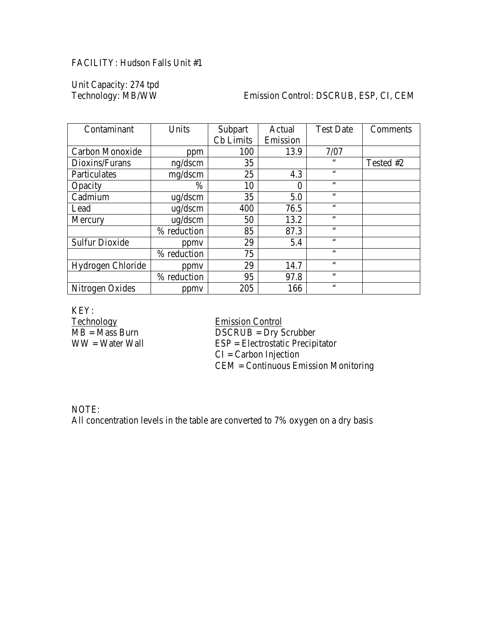# FACILITY: Hudson Falls Unit #1

Unit Capacity: 274 tpd

#### Emission Control: DSCRUB, ESP, CI, CEM

| Contaminant           | Units        | Subpart   | Actual   | <b>Test Date</b> | Comments  |
|-----------------------|--------------|-----------|----------|------------------|-----------|
|                       |              | Cb Limits | Emission |                  |           |
| Carbon Monoxide       | ppm          | 100       | 13.9     | 7/07             |           |
| Dioxins/Furans        | ng/dscm      | 35        |          | 66               | Tested #2 |
| Particulates          | mg/dscm      | 25        | 4.3      | $\zeta \zeta$    |           |
| Opacity               | $\%$         | 10        | 0        | 66               |           |
| Cadmium               | $\mu$ g/dscm | 35        | 5.0      | 66               |           |
| Lead                  | $\mu$ g/dscm | 400       | 76.5     | 66               |           |
| Mercury               | ug/dscm      | 50        | 13.2     | $\zeta \zeta$    |           |
|                       | % reduction  | 85        | 87.3     | 66               |           |
| <b>Sulfur Dioxide</b> | ppmy         | 29        | 5.4      | $\zeta \zeta$    |           |
|                       | % reduction  | 75        |          | 66               |           |
| Hydrogen Chloride     | ppmy         | 29        | 14.7     | $\zeta \zeta$    |           |
|                       | % reduction  | 95        | 97.8     | $\zeta \zeta$    |           |
| Nitrogen Oxides       | ppmy         | 205       | 166      | 66               |           |

KEY:<br>Technology Technology<br>
MB = Mass Burn<br>
DSCRUB = Dry S

 $MB = Mass$  Burn DSCRUB = Dry Scrubber<br>WW = Water Wall ESP = Electrostatic Precipi  $ESP = Electrostatic Precipitator$ CI = Carbon Injection CEM = Continuous Emission Monitoring

NOTE: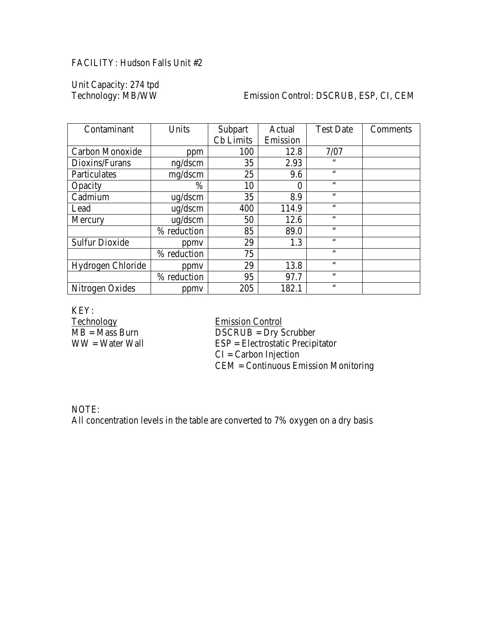# FACILITY: Hudson Falls Unit #2

Unit Capacity: 274 tpd

#### Emission Control: DSCRUB, ESP, CI, CEM

| Contaminant           | Units        | Subpart   | Actual   | <b>Test Date</b> | Comments |
|-----------------------|--------------|-----------|----------|------------------|----------|
|                       |              | Cb Limits | Emission |                  |          |
| Carbon Monoxide       | ppm          | 100       | 12.8     | 7/07             |          |
| Dioxins/Furans        | ng/dscm      | 35        | 2.93     | 66               |          |
| Particulates          | mg/dscm      | 25        | 9.6      | $\zeta \zeta$    |          |
| Opacity               | $\%$         | 10        | 0        | 66               |          |
| Cadmium               | $\mu$ g/dscm | 35        | 8.9      | 66               |          |
| Lead                  | $\mu$ g/dscm | 400       | 114.9    | 66               |          |
| Mercury               | ug/dscm      | 50        | 12.6     | 66               |          |
|                       | % reduction  | 85        | 89.0     | 66               |          |
| <b>Sulfur Dioxide</b> | ppmy         | 29        | 1.3      | 66               |          |
|                       | % reduction  | 75        |          | 66               |          |
| Hydrogen Chloride     | ppmy         | 29        | 13.8     | $\zeta \zeta$    |          |
|                       | % reduction  | 95        | 97.7     | $\zeta \zeta$    |          |
| Nitrogen Oxides       | ppmy         | 205       | 182.1    | $\leq \leq$      |          |

KEY:<br>Technology Technology<br>
MB = Mass Burn<br>
DSCRUB = Dry S

 $MB = Mass$  Burn DSCRUB = Dry Scrubber<br>WW = Water Wall ESP = Electrostatic Precipi  $ESP = Electrostatic Precipi tator$ CI = Carbon Injection CEM = Continuous Emission Monitoring

NOTE: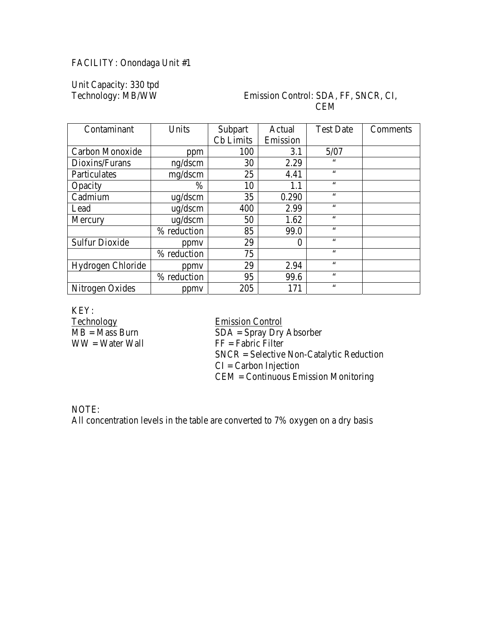# FACILITY: Onondaga Unit #1

Unit Capacity: 330 tpd

#### Emission Control: SDA, FF, SNCR, CI, CEM

| Contaminant           | Units        | Subpart   | Actual   | <b>Test Date</b> | Comments |
|-----------------------|--------------|-----------|----------|------------------|----------|
|                       |              | Cb Limits | Emission |                  |          |
| Carbon Monoxide       | ppm          | 100       | 3.1      | 5/07             |          |
| Dioxins/Furans        | ng/dscm      | 30        | 2.29     | $\zeta\,\zeta$   |          |
| Particulates          | mg/dscm      | 25        | 4.41     | $\zeta \zeta$    |          |
| Opacity               | $\%$         | 10        | $1.1\,$  | 66               |          |
| Cadmium               | $\mu$ g/dscm | 35        | 0.290    | $\zeta \zeta$    |          |
| Lead                  | $\mu$ g/dscm | 400       | 2.99     | $\zeta \zeta$    |          |
| Mercury               | ug/dscm      | 50        | 1.62     | $\zeta \zeta$    |          |
|                       | % reduction  | 85        | 99.0     | $\zeta \zeta$    |          |
| <b>Sulfur Dioxide</b> | ppmy         | 29        | 0        | $\zeta \zeta$    |          |
|                       | % reduction  | 75        |          | $\zeta \zeta$    |          |
| Hydrogen Chloride     | ppmy         | 29        | 2.94     | $\zeta \zeta$    |          |
|                       | % reduction  | 95        | 99.6     | $\zeta \zeta$    |          |
| Nitrogen Oxides       | ppmy         | 205       | 171      | $\zeta \zeta$    |          |

KEY:<br>Technology

Technology<br>
MB = Mass Burn<br>
MB = Mass Burn<br>
The SDA = Spray Dry  $\overline{SDA} =$  Spray Dry Absorber  $WW = Water Wall$  FF = Fabric Filter SNCR = Selective Non-Catalytic Reduction  $CI = Carbon Injection$ CEM = Continuous Emission Monitoring

NOTE: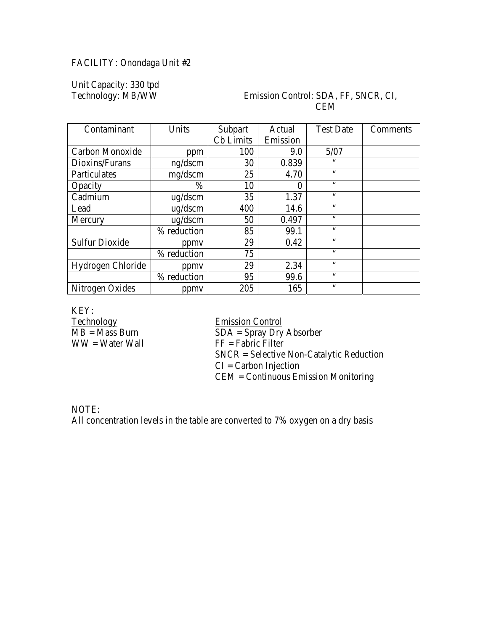# FACILITY: Onondaga Unit #2

Unit Capacity: 330 tpd

#### Emission Control: SDA, FF, SNCR, CI, CEM

| Contaminant           | Units        | Subpart   | Actual   | <b>Test Date</b> | Comments |
|-----------------------|--------------|-----------|----------|------------------|----------|
|                       |              | Cb Limits | Emission |                  |          |
| Carbon Monoxide       | ppm          | 100       | 9.0      | 5/07             |          |
| Dioxins/Furans        | ng/dscm      | 30        | 0.839    | $\zeta\,\zeta$   |          |
| Particulates          | mg/dscm      | 25        | 4.70     | $\zeta \zeta$    |          |
| Opacity               | $\%$         | 10        | 0        | 66               |          |
| Cadmium               | $\mu$ g/dscm | 35        | 1.37     | $\zeta \zeta$    |          |
| Lead                  | $\mu$ g/dscm | 400       | 14.6     | $\zeta \zeta$    |          |
| Mercury               | ug/dscm      | 50        | 0.497    | $\zeta \zeta$    |          |
|                       | % reduction  | 85        | 99.1     | $\zeta \zeta$    |          |
| <b>Sulfur Dioxide</b> | ppmy         | 29        | 0.42     | $\zeta \zeta$    |          |
|                       | % reduction  | 75        |          | $\zeta \zeta$    |          |
| Hydrogen Chloride     | ppmy         | 29        | 2.34     | $\zeta \zeta$    |          |
|                       | % reduction  | 95        | 99.6     | $\zeta \zeta$    |          |
| Nitrogen Oxides       | ppmy         | 205       | 165      | $\zeta \zeta$    |          |

KEY:<br>Technology

Technology<br>
MB = Mass Burn<br>
MB = Mass Burn<br>
The SDA = Spray Dry  $SDA =$  Spray Dry Absorber  $WW = Water Wall$  FF = Fabric Filter SNCR = Selective Non-Catalytic Reduction  $CI = Carbon Injection$ CEM = Continuous Emission Monitoring

NOTE: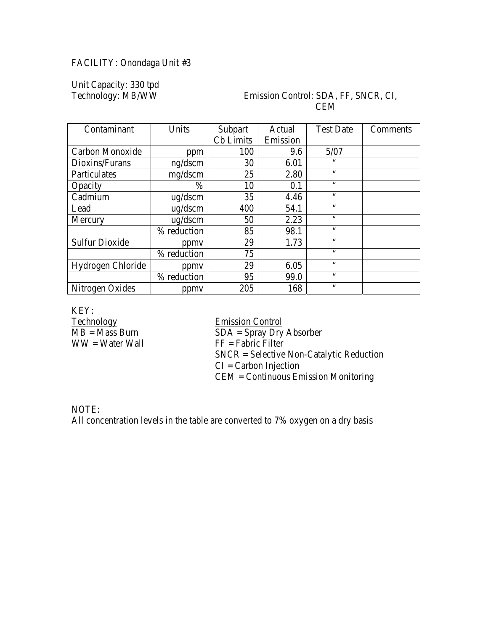# FACILITY: Onondaga Unit #3

Unit Capacity: 330 tpd

#### Emission Control: SDA, FF, SNCR, CI, CEM

| Contaminant           | Units        | Subpart   | Actual   | <b>Test Date</b> | Comments |
|-----------------------|--------------|-----------|----------|------------------|----------|
|                       |              | Cb Limits | Emission |                  |          |
| Carbon Monoxide       | ppm          | 100       | 9.6      | 5/07             |          |
| Dioxins/Furans        | ng/dscm      | 30        | 6.01     | $\zeta\,\zeta$   |          |
| Particulates          | mg/dscm      | 25        | 2.80     | $\zeta \zeta$    |          |
| Opacity               | $\%$         | 10        | 0.1      | 66               |          |
| Cadmium               | $\mu$ g/dscm | 35        | 4.46     | $\zeta \zeta$    |          |
| Lead                  | $\mu$ g/dscm | 400       | 54.1     | $\zeta \zeta$    |          |
| Mercury               | ug/dscm      | 50        | 2.23     | $\zeta \zeta$    |          |
|                       | % reduction  | 85        | 98.1     | $\zeta \zeta$    |          |
| <b>Sulfur Dioxide</b> | ppmy         | 29        | 1.73     | $\zeta \zeta$    |          |
|                       | % reduction  | 75        |          | $\zeta \zeta$    |          |
| Hydrogen Chloride     | ppmy         | 29        | 6.05     | $\zeta \zeta$    |          |
|                       | % reduction  | 95        | 99.0     | $\zeta \zeta$    |          |
| Nitrogen Oxides       | ppmy         | 205       | 168      | $\zeta \zeta$    |          |

KEY:<br>Technology

Technology<br>
MB = Mass Burn<br>
MB = Mass Burn<br>
The SDA = Spray Dry  $\overline{SDA} =$  Spray Dry Absorber  $WW = Water Wall$  FF = Fabric Filter SNCR = Selective Non-Catalytic Reduction  $CI = Carbon Injection$ CEM = Continuous Emission Monitoring

NOTE: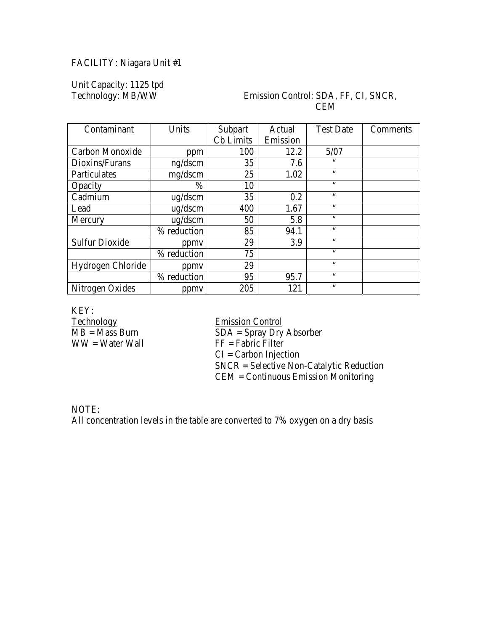# FACILITY: Niagara Unit #1

Unit Capacity: 1125 tpd<br>Technology: MB/WW

#### Emission Control: SDA, FF, CI, SNCR, CEM

| Contaminant           | Units        | Subpart   | Actual   | <b>Test Date</b> | Comments |
|-----------------------|--------------|-----------|----------|------------------|----------|
|                       |              | Cb Limits | Emission |                  |          |
| Carbon Monoxide       | ppm          | 100       | 12.2     | 5/07             |          |
| Dioxins/Furans        | ng/dscm      | 35        | 7.6      | $\zeta \zeta$    |          |
| Particulates          | mg/dscm      | 25        | 1.02     | $\zeta \zeta$    |          |
| Opacity               | $\%$         | 10        |          | $\zeta \zeta$    |          |
| Cadmium               | $\mu$ g/dscm | 35        | 0.2      | $\zeta \zeta$    |          |
| Lead                  | $\mu$ g/dscm | 400       | 1.67     | $\zeta \zeta$    |          |
| Mercury               | ug/dscm      | 50        | 5.8      | $\zeta \zeta$    |          |
|                       | % reduction  | 85        | 94.1     | $\zeta \zeta$    |          |
| <b>Sulfur Dioxide</b> | ppmy         | 29        | 3.9      | $\zeta \zeta$    |          |
|                       | % reduction  | 75        |          | $\zeta \zeta$    |          |
| Hydrogen Chloride     | ppmy         | 29        |          | $\zeta \zeta$    |          |
|                       | % reduction  | 95        | 95.7     | $\zeta \zeta$    |          |
| Nitrogen Oxides       | ppmy         | 205       | 121      | $\zeta \zeta$    |          |

KEY:<br>Technology

Technology<br>
MB = Mass Burn<br>
MB = Mass Burn<br>
The SDA = Spray Dry  $SDA =$  Spray Dry Absorber  $WW = Water Wall$  FF = Fabric Filter  $CI = Carbon Injection$ SNCR = Selective Non-Catalytic Reduction CEM = Continuous Emission Monitoring

NOTE: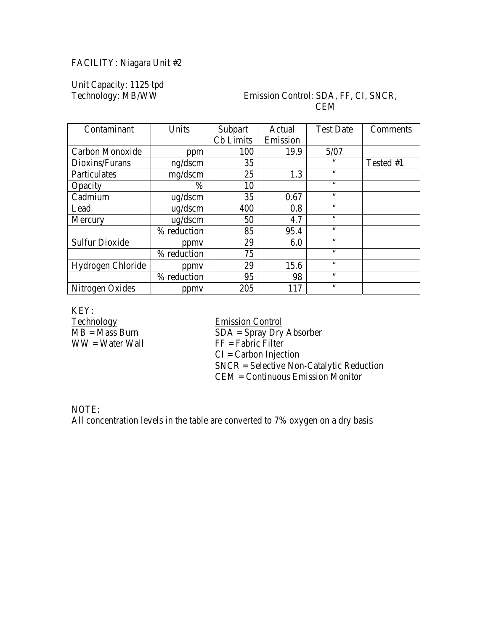# FACILITY: Niagara Unit #2

Unit Capacity: 1125 tpd<br>Technology: MB/WW

#### Emission Control: SDA, FF, CI, SNCR, **CEM**

| Contaminant           | Units        | Subpart   | Actual   | <b>Test Date</b> | Comments  |
|-----------------------|--------------|-----------|----------|------------------|-----------|
|                       |              | Cb Limits | Emission |                  |           |
| Carbon Monoxide       | ppm          | 100       | 19.9     | 5/07             |           |
| Dioxins/Furans        | ng/dscm      | 35        |          | $\zeta \zeta$    | Tested #1 |
| Particulates          | mg/dscm      | 25        | 1.3      | 66               |           |
| Opacity               | $\%$         | 10        |          | 66               |           |
| Cadmium               | ug/dscm      | 35        | 0.67     | 66               |           |
| Lead                  | $\mu$ g/dscm | 400       | 0.8      | 66               |           |
| Mercury               | ug/dscm      | 50        | 4.7      | $\zeta \zeta$    |           |
|                       | % reduction  | 85        | 95.4     | 66               |           |
| <b>Sulfur Dioxide</b> | ppmy         | 29        | 6.0      | 66               |           |
|                       | % reduction  | 75        |          | 66               |           |
| Hydrogen Chloride     | ppmy         | 29        | 15.6     | 66               |           |
|                       | % reduction  | 95        | 98       | $\zeta \zeta$    |           |
| Nitrogen Oxides       | ppmy         | 205       | 117      | 66               |           |

KEY:<br>Technology

Technology<br>
MB = Mass Burn<br>
MB = Mass Burn<br>
The SDA = Spray Dry  $SDA =$  Spray Dry Absorber  $WW = Water Wall$  FF = Fabric Filter  $CI = Carbon Injection$ SNCR = Selective Non-Catalytic Reduction CEM = Continuous Emission Monitor

NOTE: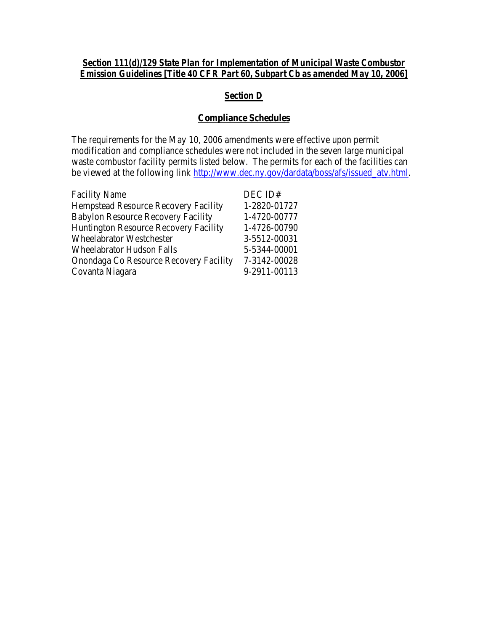#### *Section 111(d)/129 State Plan for Implementation of Municipal Waste Combustor Emission Guidelines [Title 40 CFR Part 60, Subpart Cb as amended May 10, 2006]*

# *Section D*

#### **Compliance Schedules**

The requirements for the May 10, 2006 amendments were effective upon permit modification and compliance schedules were not included in the seven large municipal waste combustor facility permits listed below. The permits for each of the facilities can be viewed at the following link [http://www.dec.ny.gov/dardata/boss/afs/issued\\_atv.html.](http://www.dec.ny.gov/dardata/boss/afs/issued_atv.html)

| <b>Facility Name</b>                         | DEC ID#      |
|----------------------------------------------|--------------|
| <b>Hempstead Resource Recovery Facility</b>  | 1-2820-01727 |
| <b>Babylon Resource Recovery Facility</b>    | 1-4720-00777 |
| <b>Huntington Resource Recovery Facility</b> | 1-4726-00790 |
| <b>Wheelabrator Westchester</b>              | 3-5512-00031 |
| <b>Wheelabrator Hudson Falls</b>             | 5-5344-00001 |
| Onondaga Co Resource Recovery Facility       | 7-3142-00028 |
| Covanta Niagara                              | 9-2911-00113 |